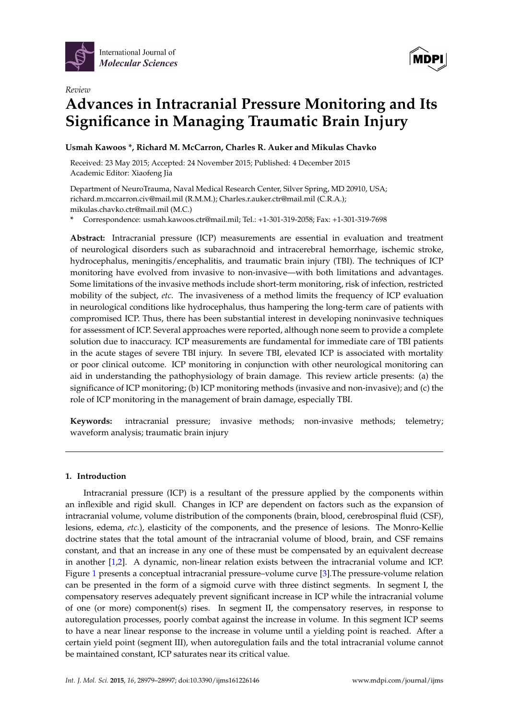

*Review*



# **Advances in Intracranial Pressure Monitoring and Its Significance in Managing Traumatic Brain Injury**

# **Usmah Kawoos \*, Richard M. McCarron, Charles R. Auker and Mikulas Chavko**

Received: 23 May 2015; Accepted: 24 November 2015; Published: 4 December 2015 Academic Editor: Xiaofeng Jia

Department of NeuroTrauma, Naval Medical Research Center, Silver Spring, MD 20910, USA; richard.m.mccarron.civ@mail.mil (R.M.M.); Charles.r.auker.ctr@mail.mil (C.R.A.); mikulas.chavko.ctr@mail.mil (M.C.)

**\*** Correspondence: usmah.kawoos.ctr@mail.mil; Tel.: +1-301-319-2058; Fax: +1-301-319-7698

**Abstract:** Intracranial pressure (ICP) measurements are essential in evaluation and treatment of neurological disorders such as subarachnoid and intracerebral hemorrhage, ischemic stroke, hydrocephalus, meningitis/encephalitis, and traumatic brain injury (TBI). The techniques of ICP monitoring have evolved from invasive to non-invasive—with both limitations and advantages. Some limitations of the invasive methods include short-term monitoring, risk of infection, restricted mobility of the subject, *etc*. The invasiveness of a method limits the frequency of ICP evaluation in neurological conditions like hydrocephalus, thus hampering the long-term care of patients with compromised ICP. Thus, there has been substantial interest in developing noninvasive techniques for assessment of ICP. Several approaches were reported, although none seem to provide a complete solution due to inaccuracy. ICP measurements are fundamental for immediate care of TBI patients in the acute stages of severe TBI injury. In severe TBI, elevated ICP is associated with mortality or poor clinical outcome. ICP monitoring in conjunction with other neurological monitoring can aid in understanding the pathophysiology of brain damage. This review article presents: (a) the significance of ICP monitoring; (b) ICP monitoring methods (invasive and non-invasive); and (c) the role of ICP monitoring in the management of brain damage, especially TBI.

**Keywords:** intracranial pressure; invasive methods; non-invasive methods; telemetry; waveform analysis; traumatic brain injury

# **1. Introduction**

Intracranial pressure (ICP) is a resultant of the pressure applied by the components within an inflexible and rigid skull. Changes in ICP are dependent on factors such as the expansion of intracranial volume, volume distribution of the components (brain, blood, cerebrospinal fluid (CSF), lesions, edema, *etc.*), elasticity of the components, and the presence of lesions. The Monro-Kellie doctrine states that the total amount of the intracranial volume of blood, brain, and CSF remains constant, and that an increase in any one of these must be compensated by an equivalent decrease in another [\[1](#page-12-0)[,2\]](#page-12-1). A dynamic, non-linear relation exists between the intracranial volume and ICP. Figure [1](#page-1-0) presents a conceptual intracranial pressure–volume curve [\[3\]](#page-12-2).The pressure-volume relation can be presented in the form of a sigmoid curve with three distinct segments. In segment I, the compensatory reserves adequately prevent significant increase in ICP while the intracranial volume of one (or more) component(s) rises. In segment II, the compensatory reserves, in response to autoregulation processes, poorly combat against the increase in volume. In this segment ICP seems to have a near linear response to the increase in volume until a yielding point is reached. After a certain yield point (segment III), when autoregulation fails and the total intracranial volume cannot be maintained constant, ICP saturates near its critical value.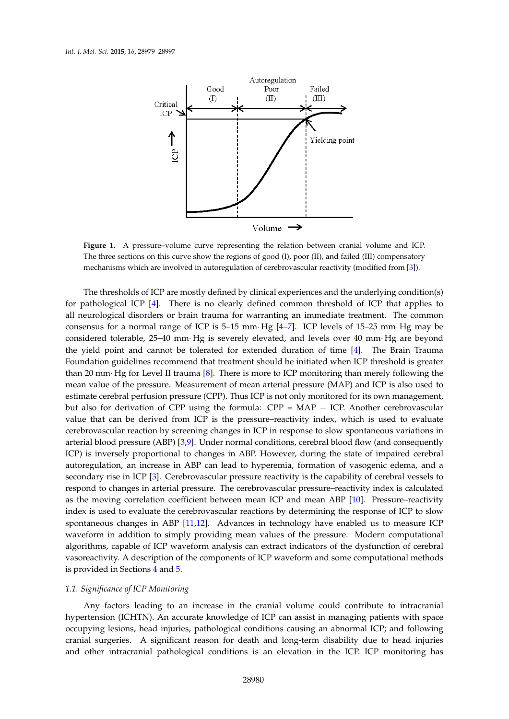<span id="page-1-0"></span>

Figure 1. A pressure–volume curve representing the relation between cranial volume and ICP.  $t_{\text{min}}$  on the regions of good (I), poor (I), poor (I), poor (I), poor (II), and failed (III) compensatory compensatory compensations (III) compensations (III) compensations (III), and failed (III) compensations (III) c The three sections on this curve show the regions of good (I), poor (II), and failed (III) compensatory mechanisms which are involved in autoregulation of cerebrovascular reactivity (modified from [\[3\]](#page-12-2)).

The thresholds of ICP are mostly defined by clinical experiences and the underlying condition(s) for pathological ICP [\[4\]](#page-12-3). There is no clearly defined common threshold of ICP that applies to all neurological disorders or brain trauma for warranting an immediate treatment. The common be considered to consider the considered to  $\frac{1}{25}$  mm. Hg is severe  $\frac{1}{21}$  Hg are beyond  $\frac{1}{25}$  mm. Hg are beyond  $\frac{1}{25}$  mm. Hg are beyond  $\frac{1}{25}$  mm. Hg are beyond  $\frac{1}{25}$  mm. Hg are beyond  $\frac{1}{25$ consensus for a normal range of ICP is 5–15 mm  $Hg$  [\[4](#page-12-3)[–7\]](#page-12-4). ICP levels of 15–25 mm  $Hg$  may be  $\frac{1}{2}$ . considered tolerable, 25–40 mm Hg is severely elevated, and levels over 40 mm Hg are beyond the yield point and cannot be tolerated for extended duration of time [\[4\]](#page-12-3). The Brain Trauma Foundation guidelines recommend that treatment should be initiated when ICP threshold is greater than 20 mm $\cdot$  Hg for Level II trauma [\[8\]](#page-12-5). There is more to ICP monitoring than merely following the mean value of the pressure. Measurement of mean arterial pressure (MAP) and ICP is also used to estimate cerebral perfusion pressure (CPP). Thus ICP is not only monitored for its own management, but also for derivation of CPP using the formula: CPP = MAP - ICP. Another cerebrovascular value that can be derived from ICP is the pressure–reactivity index, which is used to evaluate cerebrovascular reaction by screening changes in ICP in response to slow spontaneous variations in autoregulation, and increase in ABP can lead to hyperemia, formation of variance of variance arterial blood pressure (ABP) [\[3,](#page-12-2)[9\]](#page-12-6). Under normal conditions, cerebral blood flow (and consequently ICP) is inversely proportional to changes in ABP. However, during the state of impaired cerebral autoregulation, an increase in ABP can lead to hyperemia, formation of vasogenic edema, and a secondary rise in ICP [\[3\]](#page-12-2). Cerebrovascular pressure reactivity is the capability of cerebral vessels to respond to changes in arterial pressure. The cerebrovascular pressure-reactivity index is calculated as the moving correlation coefficient between mean ICP and mean ABP [\[10\]](#page-12-7). Pressure–reactivity index is used to evaluate the cerebrovascular reactions by determining the response of ICP to slow spontaneous changes in ABP [\[11,](#page-12-8)[12\]](#page-12-9). Advances in technology have enabled us to measure ICP provided in Sections 4 and 5. The providing mean values of the pressure. Modern computational waveform in addition to simply providing mean values of the pressure. Modern computational *1.1. Significance of ICP Monitoring*  algorithms, capable of ICP waveform analysis can extract indicators of the dysfunction of cerebral vasoreactivity. A description of the components of ICP waveform and some computational methods is provided in Sections [4](#page-7-0) and [5.](#page-8-0)

# occupying lesions, head injuries, pathological conditions causing an abnormal ICP; and following *1.1. Significance of ICP Monitoring*

Any factors leading to an increase in the cranial volume could contribute to intracranial hypertension (ICHTN). An accurate knowledge of ICP can assist in managing patients with space occupying lesions, head injuries, pathological conditions causing an abnormal ICP; and following cranial surgeries. A significant reason for death and long-term disability due to head injuries and other intracranial pathological conditions is an elevation in the ICP. ICP monitoring has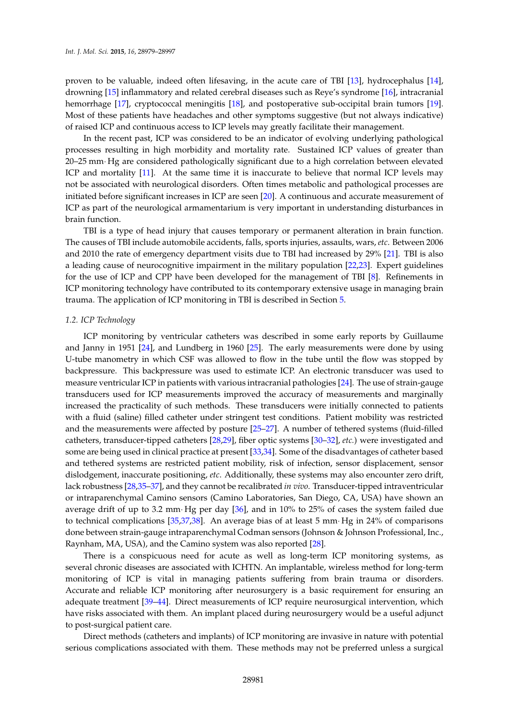proven to be valuable, indeed often lifesaving, in the acute care of TBI [\[13\]](#page-12-10), hydrocephalus [\[14\]](#page-12-11), drowning [\[15\]](#page-12-12) inflammatory and related cerebral diseases such as Reye's syndrome [\[16\]](#page-12-13), intracranial hemorrhage [\[17\]](#page-12-14), cryptococcal meningitis [\[18\]](#page-12-15), and postoperative sub-occipital brain tumors [\[19\]](#page-12-16). Most of these patients have headaches and other symptoms suggestive (but not always indicative) of raised ICP and continuous access to ICP levels may greatly facilitate their management.

In the recent past, ICP was considered to be an indicator of evolving underlying pathological processes resulting in high morbidity and mortality rate. Sustained ICP values of greater than 20–25 mm Hg are considered pathologically significant due to a high correlation between elevated ICP and mortality [\[11\]](#page-12-8). At the same time it is inaccurate to believe that normal ICP levels may not be associated with neurological disorders. Often times metabolic and pathological processes are initiated before significant increases in ICP are seen [\[20\]](#page-12-17). A continuous and accurate measurement of ICP as part of the neurological armamentarium is very important in understanding disturbances in brain function.

TBI is a type of head injury that causes temporary or permanent alteration in brain function. The causes of TBI include automobile accidents, falls, sports injuries, assaults, wars, *etc*. Between 2006 and 2010 the rate of emergency department visits due to TBI had increased by 29% [\[21\]](#page-12-18). TBI is also a leading cause of neurocognitive impairment in the military population [\[22,](#page-12-19)[23\]](#page-13-0). Expert guidelines for the use of ICP and CPP have been developed for the management of TBI [\[8\]](#page-12-5). Refinements in ICP monitoring technology have contributed to its contemporary extensive usage in managing brain trauma. The application of ICP monitoring in TBI is described in Section [5.](#page-8-0)

#### *1.2. ICP Technology*

ICP monitoring by ventricular catheters was described in some early reports by Guillaume and Janny in 1951 [\[24\]](#page-13-1), and Lundberg in 1960 [\[25\]](#page-13-2). The early measurements were done by using U-tube manometry in which CSF was allowed to flow in the tube until the flow was stopped by backpressure. This backpressure was used to estimate ICP. An electronic transducer was used to measure ventricular ICP in patients with various intracranial pathologies [\[24\]](#page-13-1). The use of strain-gauge transducers used for ICP measurements improved the accuracy of measurements and marginally increased the practicality of such methods. These transducers were initially connected to patients with a fluid (saline) filled catheter under stringent test conditions. Patient mobility was restricted and the measurements were affected by posture [\[25–](#page-13-2)[27\]](#page-13-3). A number of tethered systems (fluid-filled catheters, transducer-tipped catheters [\[28](#page-13-4)[,29\]](#page-13-5), fiber optic systems [\[30](#page-13-6)[–32\]](#page-13-7), *etc.*) were investigated and some are being used in clinical practice at present [\[33,](#page-13-8)[34\]](#page-13-9). Some of the disadvantages of catheter based and tethered systems are restricted patient mobility, risk of infection, sensor displacement, sensor dislodgement, inaccurate positioning, *etc*. Additionally, these systems may also encounter zero drift, lack robustness [\[28](#page-13-4)[,35](#page-13-10)[–37\]](#page-13-11), and they cannot be recalibrated *in vivo*. Transducer-tipped intraventricular or intraparenchymal Camino sensors (Camino Laboratories, San Diego, CA, USA) have shown an average drift of up to 3.2 mm $\cdot$  Hg per day [\[36\]](#page-13-12), and in 10% to 25% of cases the system failed due to technical complications [\[35](#page-13-10)[,37](#page-13-11)[,38\]](#page-13-13). An average bias of at least 5 mm· Hg in 24% of comparisons done between strain-gauge intraparenchymal Codman sensors (Johnson & Johnson Professional, Inc., Raynham, MA, USA), and the Camino system was also reported [\[28\]](#page-13-4).

There is a conspicuous need for acute as well as long-term ICP monitoring systems, as several chronic diseases are associated with ICHTN. An implantable, wireless method for long-term monitoring of ICP is vital in managing patients suffering from brain trauma or disorders. Accurate and reliable ICP monitoring after neurosurgery is a basic requirement for ensuring an adequate treatment [\[39](#page-13-14)[–44\]](#page-13-15). Direct measurements of ICP require neurosurgical intervention, which have risks associated with them. An implant placed during neurosurgery would be a useful adjunct to post-surgical patient care.

Direct methods (catheters and implants) of ICP monitoring are invasive in nature with potential serious complications associated with them. These methods may not be preferred unless a surgical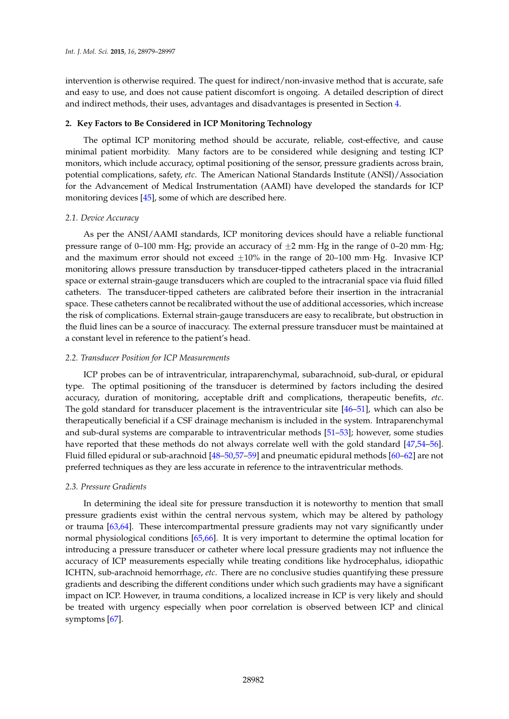intervention is otherwise required. The quest for indirect/non-invasive method that is accurate, safe and easy to use, and does not cause patient discomfort is ongoing. A detailed description of direct and indirect methods, their uses, advantages and disadvantages is presented in Section [4.](#page-7-0)

#### **2. Key Factors to Be Considered in ICP Monitoring Technology**

The optimal ICP monitoring method should be accurate, reliable, cost-effective, and cause minimal patient morbidity. Many factors are to be considered while designing and testing ICP monitors, which include accuracy, optimal positioning of the sensor, pressure gradients across brain, potential complications, safety, *etc*. The American National Standards Institute (ANSI)/Association for the Advancement of Medical Instrumentation (AAMI) have developed the standards for ICP monitoring devices [\[45\]](#page-14-0), some of which are described here.

#### *2.1. Device Accuracy*

As per the ANSI/AAMI standards, ICP monitoring devices should have a reliable functional pressure range of 0–100 mm· Hg; provide an accuracy of  $\pm 2$  mm· Hg in the range of 0–20 mm· Hg; and the maximum error should not exceed  $\pm 10\%$  in the range of 20–100 mm· Hg. Invasive ICP monitoring allows pressure transduction by transducer-tipped catheters placed in the intracranial space or external strain-gauge transducers which are coupled to the intracranial space via fluid filled catheters. The transducer-tipped catheters are calibrated before their insertion in the intracranial space. These catheters cannot be recalibrated without the use of additional accessories, which increase the risk of complications. External strain-gauge transducers are easy to recalibrate, but obstruction in the fluid lines can be a source of inaccuracy. The external pressure transducer must be maintained at a constant level in reference to the patient's head.

#### *2.2. Transducer Position for ICP Measurements*

ICP probes can be of intraventricular, intraparenchymal, subarachnoid, sub-dural, or epidural type. The optimal positioning of the transducer is determined by factors including the desired accuracy, duration of monitoring, acceptable drift and complications, therapeutic benefits, *etc*. The gold standard for transducer placement is the intraventricular site [\[46–](#page-14-1)[51\]](#page-14-2), which can also be therapeutically beneficial if a CSF drainage mechanism is included in the system. Intraparenchymal and sub-dural systems are comparable to intraventricular methods [\[51](#page-14-2)[–53\]](#page-14-3); however, some studies have reported that these methods do not always correlate well with the gold standard [\[47,](#page-14-4)[54–](#page-14-5)[56\]](#page-14-6). Fluid filled epidural or sub-arachnoid [\[48–](#page-14-7)[50,](#page-14-8)[57](#page-14-9)[–59\]](#page-14-10) and pneumatic epidural methods [\[60–](#page-14-11)[62\]](#page-14-12) are not preferred techniques as they are less accurate in reference to the intraventricular methods.

#### *2.3. Pressure Gradients*

In determining the ideal site for pressure transduction it is noteworthy to mention that small pressure gradients exist within the central nervous system, which may be altered by pathology or trauma [\[63](#page-14-13)[,64\]](#page-14-14). These intercompartmental pressure gradients may not vary significantly under normal physiological conditions [\[65](#page-14-15)[,66\]](#page-14-16). It is very important to determine the optimal location for introducing a pressure transducer or catheter where local pressure gradients may not influence the accuracy of ICP measurements especially while treating conditions like hydrocephalus, idiopathic ICHTN, sub-arachnoid hemorrhage, *etc*. There are no conclusive studies quantifying these pressure gradients and describing the different conditions under which such gradients may have a significant impact on ICP. However, in trauma conditions, a localized increase in ICP is very likely and should be treated with urgency especially when poor correlation is observed between ICP and clinical symptoms [\[67\]](#page-15-0).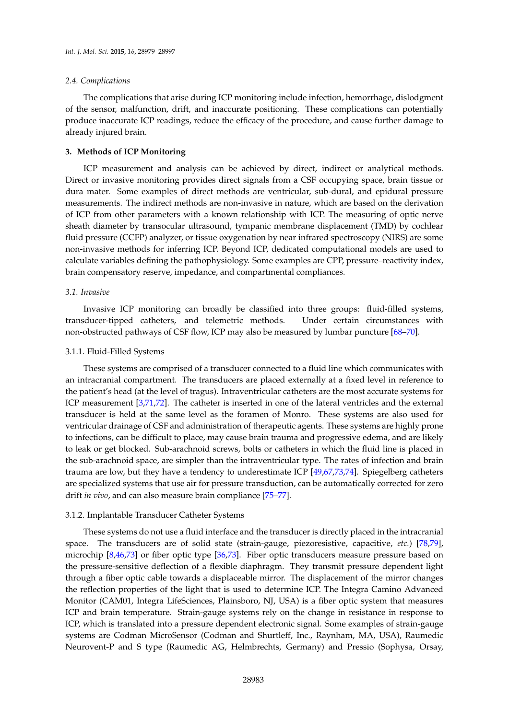### *2.4. Complications*

The complications that arise during ICP monitoring include infection, hemorrhage, dislodgment of the sensor, malfunction, drift, and inaccurate positioning. These complications can potentially produce inaccurate ICP readings, reduce the efficacy of the procedure, and cause further damage to already injured brain.

#### **3. Methods of ICP Monitoring**

ICP measurement and analysis can be achieved by direct, indirect or analytical methods. Direct or invasive monitoring provides direct signals from a CSF occupying space, brain tissue or dura mater. Some examples of direct methods are ventricular, sub-dural, and epidural pressure measurements. The indirect methods are non-invasive in nature, which are based on the derivation of ICP from other parameters with a known relationship with ICP. The measuring of optic nerve sheath diameter by transocular ultrasound, tympanic membrane displacement (TMD) by cochlear fluid pressure (CCFP) analyzer, or tissue oxygenation by near infrared spectroscopy (NIRS) are some non-invasive methods for inferring ICP. Beyond ICP, dedicated computational models are used to calculate variables defining the pathophysiology. Some examples are CPP, pressure–reactivity index, brain compensatory reserve, impedance, and compartmental compliances.

#### *3.1. Invasive*

Invasive ICP monitoring can broadly be classified into three groups: fluid-filled systems, transducer-tipped catheters, and telemetric methods. Under certain circumstances with non-obstructed pathways of CSF flow, ICP may also be measured by lumbar puncture [\[68–](#page-15-1)[70\]](#page-15-2).

#### 3.1.1. Fluid-Filled Systems

These systems are comprised of a transducer connected to a fluid line which communicates with an intracranial compartment. The transducers are placed externally at a fixed level in reference to the patient's head (at the level of tragus). Intraventricular catheters are the most accurate systems for ICP measurement [\[3](#page-12-2)[,71](#page-15-3)[,72\]](#page-15-4). The catheter is inserted in one of the lateral ventricles and the external transducer is held at the same level as the foramen of Monro. These systems are also used for ventricular drainage of CSF and administration of therapeutic agents. These systems are highly prone to infections, can be difficult to place, may cause brain trauma and progressive edema, and are likely to leak or get blocked. Sub-arachnoid screws, bolts or catheters in which the fluid line is placed in the sub-arachnoid space, are simpler than the intraventricular type. The rates of infection and brain trauma are low, but they have a tendency to underestimate ICP [\[49,](#page-14-17)[67,](#page-15-0)[73,](#page-15-5)[74\]](#page-15-6). Spiegelberg catheters are specialized systems that use air for pressure transduction, can be automatically corrected for zero drift *in vivo*, and can also measure brain compliance [\[75](#page-15-7)[–77\]](#page-15-8).

#### 3.1.2. Implantable Transducer Catheter Systems

These systems do not use a fluid interface and the transducer is directly placed in the intracranial space. The transducers are of solid state (strain-gauge, piezoresistive, capacitive, *etc.*) [\[78](#page-15-9)[,79\]](#page-15-10), microchip [\[8](#page-12-5)[,46](#page-14-1)[,73\]](#page-15-5) or fiber optic type [\[36](#page-13-12)[,73\]](#page-15-5). Fiber optic transducers measure pressure based on the pressure-sensitive deflection of a flexible diaphragm. They transmit pressure dependent light through a fiber optic cable towards a displaceable mirror. The displacement of the mirror changes the reflection properties of the light that is used to determine ICP. The Integra Camino Advanced Monitor (CAM01, Integra LifeSciences, Plainsboro, NJ, USA) is a fiber optic system that measures ICP and brain temperature. Strain-gauge systems rely on the change in resistance in response to ICP, which is translated into a pressure dependent electronic signal. Some examples of strain-gauge systems are Codman MicroSensor (Codman and Shurtleff, Inc., Raynham, MA, USA), Raumedic Neurovent-P and S type (Raumedic AG, Helmbrechts, Germany) and Pressio (Sophysa, Orsay,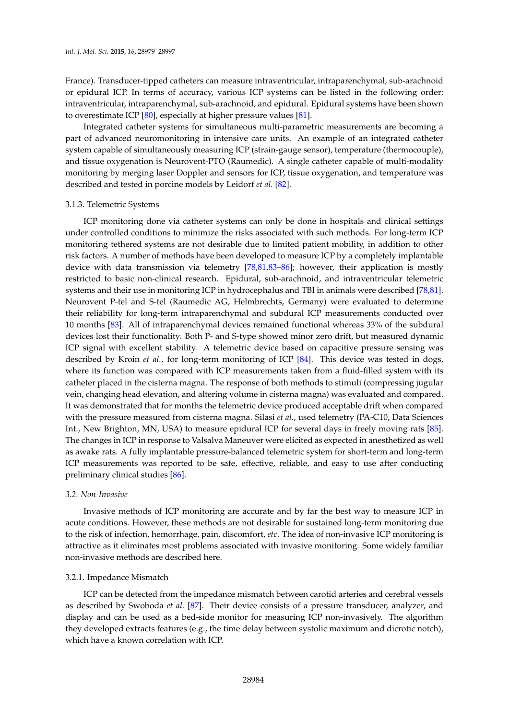France). Transducer-tipped catheters can measure intraventricular, intraparenchymal, sub-arachnoid or epidural ICP. In terms of accuracy, various ICP systems can be listed in the following order: intraventricular, intraparenchymal, sub-arachnoid, and epidural. Epidural systems have been shown to overestimate ICP [\[80\]](#page-15-11), especially at higher pressure values [\[81\]](#page-15-12).

Integrated catheter systems for simultaneous multi-parametric measurements are becoming a part of advanced neuromonitoring in intensive care units. An example of an integrated catheter system capable of simultaneously measuring ICP (strain-gauge sensor), temperature (thermocouple), and tissue oxygenation is Neurovent-PTO (Raumedic). A single catheter capable of multi-modality monitoring by merging laser Doppler and sensors for ICP, tissue oxygenation, and temperature was described and tested in porcine models by Leidorf *et al.* [\[82\]](#page-15-13).

#### 3.1.3. Telemetric Systems

ICP monitoring done via catheter systems can only be done in hospitals and clinical settings under controlled conditions to minimize the risks associated with such methods. For long-term ICP monitoring tethered systems are not desirable due to limited patient mobility, in addition to other risk factors. A number of methods have been developed to measure ICP by a completely implantable device with data transmission via telemetry [\[78,](#page-15-9)[81,](#page-15-12)[83–](#page-15-14)[86\]](#page-15-15); however, their application is mostly restricted to basic non-clinical research. Epidural, sub-arachnoid, and intraventricular telemetric systems and their use in monitoring ICP in hydrocephalus and TBI in animals were described [\[78](#page-15-9)[,81\]](#page-15-12). Neurovent P-tel and S-tel (Raumedic AG, Helmbrechts, Germany) were evaluated to determine their reliability for long-term intraparenchymal and subdural ICP measurements conducted over 10 months [\[83\]](#page-15-14). All of intraparenchymal devices remained functional whereas 33% of the subdural devices lost their functionality. Both P- and S-type showed minor zero drift, but measured dynamic ICP signal with excellent stability. A telemetric device based on capacitive pressure sensing was described by Kroin *et al.*, for long-term monitoring of ICP [\[84\]](#page-15-16). This device was tested in dogs, where its function was compared with ICP measurements taken from a fluid-filled system with its catheter placed in the cisterna magna. The response of both methods to stimuli (compressing jugular vein, changing head elevation, and altering volume in cisterna magna) was evaluated and compared. It was demonstrated that for months the telemetric device produced acceptable drift when compared with the pressure measured from cisterna magna. Silasi *et al.*, used telemetry (PA-C10, Data Sciences Int., New Brighton, MN, USA) to measure epidural ICP for several days in freely moving rats [\[85\]](#page-15-17). The changes in ICP in response to Valsalva Maneuver were elicited as expected in anesthetized as well as awake rats. A fully implantable pressure-balanced telemetric system for short-term and long-term ICP measurements was reported to be safe, effective, reliable, and easy to use after conducting preliminary clinical studies [\[86\]](#page-15-15).

#### *3.2. Non-Invasive*

Invasive methods of ICP monitoring are accurate and by far the best way to measure ICP in acute conditions. However, these methods are not desirable for sustained long-term monitoring due to the risk of infection, hemorrhage, pain, discomfort, *etc*. The idea of non-invasive ICP monitoring is attractive as it eliminates most problems associated with invasive monitoring. Some widely familiar non-invasive methods are described here.

#### 3.2.1. Impedance Mismatch

ICP can be detected from the impedance mismatch between carotid arteries and cerebral vessels as described by Swoboda *et al.* [\[87\]](#page-15-18). Their device consists of a pressure transducer, analyzer, and display and can be used as a bed-side monitor for measuring ICP non-invasively. The algorithm they developed extracts features (e.g., the time delay between systolic maximum and dicrotic notch), which have a known correlation with ICP.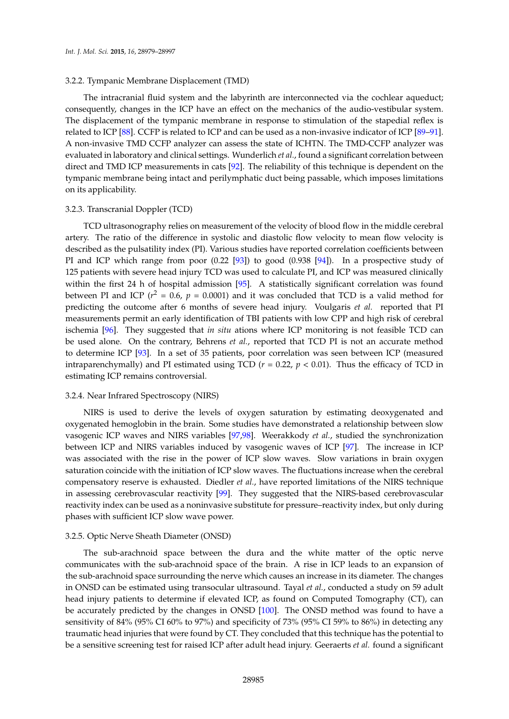#### 3.2.2. Tympanic Membrane Displacement (TMD)

The intracranial fluid system and the labyrinth are interconnected via the cochlear aqueduct; consequently, changes in the ICP have an effect on the mechanics of the audio-vestibular system. The displacement of the tympanic membrane in response to stimulation of the stapedial reflex is related to ICP [\[88\]](#page-15-19). CCFP is related to ICP and can be used as a non-invasive indicator of ICP [\[89–](#page-16-0)[91\]](#page-16-1). A non-invasive TMD CCFP analyzer can assess the state of ICHTN. The TMD-CCFP analyzer was evaluated in laboratory and clinical settings. Wunderlich *et al.*, found a significant correlation between direct and TMD ICP measurements in cats [\[92\]](#page-16-2). The reliability of this technique is dependent on the tympanic membrane being intact and perilymphatic duct being passable, which imposes limitations on its applicability.

#### 3.2.3. Transcranial Doppler (TCD)

TCD ultrasonography relies on measurement of the velocity of blood flow in the middle cerebral artery. The ratio of the difference in systolic and diastolic flow velocity to mean flow velocity is described as the pulsatility index (PI). Various studies have reported correlation coefficients between PI and ICP which range from poor (0.22 [\[93\]](#page-16-3)) to good (0.938 [\[94\]](#page-16-4)). In a prospective study of 125 patients with severe head injury TCD was used to calculate PI, and ICP was measured clinically within the first 24 h of hospital admission [\[95\]](#page-16-5). A statistically significant correlation was found between PI and ICP ( $r^2$  = 0.6,  $p$  = 0.0001) and it was concluded that TCD is a valid method for predicting the outcome after 6 months of severe head injury. Voulgaris *et al.* reported that PI measurements permit an early identification of TBI patients with low CPP and high risk of cerebral ischemia [\[96\]](#page-16-6). They suggested that *in situ* ations where ICP monitoring is not feasible TCD can be used alone. On the contrary, Behrens *et al.*, reported that TCD PI is not an accurate method to determine ICP [\[93\]](#page-16-3). In a set of 35 patients, poor correlation was seen between ICP (measured intraparenchymally) and PI estimated using TCD ( $r = 0.22$ ,  $p < 0.01$ ). Thus the efficacy of TCD in estimating ICP remains controversial.

#### 3.2.4. Near Infrared Spectroscopy (NIRS)

NIRS is used to derive the levels of oxygen saturation by estimating deoxygenated and oxygenated hemoglobin in the brain. Some studies have demonstrated a relationship between slow vasogenic ICP waves and NIRS variables [\[97](#page-16-7)[,98\]](#page-16-8). Weerakkody *et al.*, studied the synchronization between ICP and NIRS variables induced by vasogenic waves of ICP [\[97\]](#page-16-7). The increase in ICP was associated with the rise in the power of ICP slow waves. Slow variations in brain oxygen saturation coincide with the initiation of ICP slow waves. The fluctuations increase when the cerebral compensatory reserve is exhausted. Diedler *et al.*, have reported limitations of the NIRS technique in assessing cerebrovascular reactivity [\[99\]](#page-16-9). They suggested that the NIRS-based cerebrovascular reactivity index can be used as a noninvasive substitute for pressure–reactivity index, but only during phases with sufficient ICP slow wave power.

#### 3.2.5. Optic Nerve Sheath Diameter (ONSD)

The sub-arachnoid space between the dura and the white matter of the optic nerve communicates with the sub-arachnoid space of the brain. A rise in ICP leads to an expansion of the sub-arachnoid space surrounding the nerve which causes an increase in its diameter. The changes in ONSD can be estimated using transocular ultrasound. Tayal *et al.*, conducted a study on 59 adult head injury patients to determine if elevated ICP, as found on Computed Tomography (CT), can be accurately predicted by the changes in ONSD [\[100\]](#page-16-10). The ONSD method was found to have a sensitivity of 84% (95% CI 60% to 97%) and specificity of 73% (95% CI 59% to 86%) in detecting any traumatic head injuries that were found by CT. They concluded that this technique has the potential to be a sensitive screening test for raised ICP after adult head injury. Geeraerts *et al.* found a significant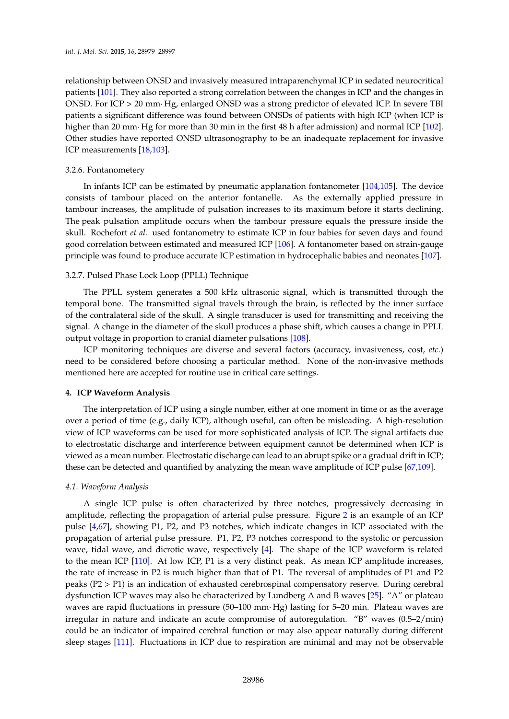relationship between ONSD and invasively measured intraparenchymal ICP in sedated neurocritical patients [\[101\]](#page-16-11). They also reported a strong correlation between the changes in ICP and the changes in ONSD. For ICP > 20 mm· Hg, enlarged ONSD was a strong predictor of elevated ICP. In severe TBI patients a significant difference was found between ONSDs of patients with high ICP (when ICP is higher than 20 mm· Hg for more than 30 min in the first 48 h after admission) and normal ICP [\[102\]](#page-16-12). Other studies have reported ONSD ultrasonography to be an inadequate replacement for invasive ICP measurements [\[18](#page-12-15)[,103\]](#page-16-13).

#### 3.2.6. Fontanometery

In infants ICP can be estimated by pneumatic applanation fontanometer [\[104,](#page-16-14)[105\]](#page-16-15). The device consists of tambour placed on the anterior fontanelle. As the externally applied pressure in tambour increases, the amplitude of pulsation increases to its maximum before it starts declining. The peak pulsation amplitude occurs when the tambour pressure equals the pressure inside the skull. Rochefort *et al.* used fontanometry to estimate ICP in four babies for seven days and found good correlation between estimated and measured ICP [\[106\]](#page-16-16). A fontanometer based on strain-gauge principle was found to produce accurate ICP estimation in hydrocephalic babies and neonates [\[107\]](#page-17-0).

#### 3.2.7. Pulsed Phase Lock Loop (PPLL) Technique

The PPLL system generates a 500 kHz ultrasonic signal, which is transmitted through the temporal bone. The transmitted signal travels through the brain, is reflected by the inner surface of the contralateral side of the skull. A single transducer is used for transmitting and receiving the signal. A change in the diameter of the skull produces a phase shift, which causes a change in PPLL output voltage in proportion to cranial diameter pulsations [\[108\]](#page-17-1).

ICP monitoring techniques are diverse and several factors (accuracy, invasiveness, cost, *etc.*) need to be considered before choosing a particular method. None of the non-invasive methods mentioned here are accepted for routine use in critical care settings.

#### <span id="page-7-0"></span>**4. ICP Waveform Analysis**

The interpretation of ICP using a single number, either at one moment in time or as the average over a period of time (e.g., daily ICP), although useful, can often be misleading. A high-resolution view of ICP waveforms can be used for more sophisticated analysis of ICP. The signal artifacts due to electrostatic discharge and interference between equipment cannot be determined when ICP is viewed as a mean number. Electrostatic discharge can lead to an abrupt spike or a gradual drift in ICP; these can be detected and quantified by analyzing the mean wave amplitude of ICP pulse [\[67,](#page-15-0)[109\]](#page-17-2).

#### *4.1. Waveform Analysis*

A single ICP pulse is often characterized by three notches, progressively decreasing in amplitude, reflecting the propagation of arterial pulse pressure. Figure [2](#page-8-1) is an example of an ICP pulse [\[4,](#page-12-3)[67\]](#page-15-0), showing P1, P2, and P3 notches, which indicate changes in ICP associated with the propagation of arterial pulse pressure. P1, P2, P3 notches correspond to the systolic or percussion wave, tidal wave, and dicrotic wave, respectively [\[4\]](#page-12-3). The shape of the ICP waveform is related to the mean ICP [\[110\]](#page-17-3). At low ICP, P1 is a very distinct peak. As mean ICP amplitude increases, the rate of increase in P2 is much higher than that of P1. The reversal of amplitudes of P1 and P2 peaks (P2 > P1) is an indication of exhausted cerebrospinal compensatory reserve. During cerebral dysfunction ICP waves may also be characterized by Lundberg A and B waves [\[25\]](#page-13-2). "A" or plateau waves are rapid fluctuations in pressure (50–100 mm· Hg) lasting for 5–20 min. Plateau waves are irregular in nature and indicate an acute compromise of autoregulation. "B" waves (0.5–2/min) could be an indicator of impaired cerebral function or may also appear naturally during different sleep stages [\[111\]](#page-17-4). Fluctuations in ICP due to respiration are minimal and may not be observable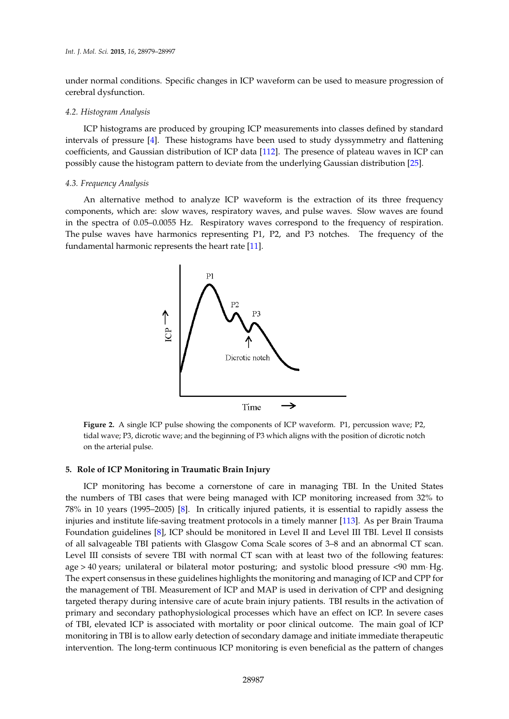under normal conditions. Specific changes in ICP waveform can be used to measure progression of cerebral dysfunction.

# *4.2. Histogram Analysis Int. J. Mol. Sci.* **2015**, *16*, page–page

ICP histograms are produced by grouping ICP measurements into classes defined by standard intervals of pressure [\[4\]](#page-12-3). These histograms have been used to study dyssymmetry and flattening coefficients, and Gaussian distribution of ICP data  $[112]$ . The presence of plateau waves in ICP can possibly cause the histogram pattern to deviate from the underlying Gaussian distribution [25].

#### *4.3. Frequency Analysis*

<span id="page-8-1"></span>An alternative method to analyze ICP waveform is the extraction of its three frequency components, which are: slow waves, respiratory waves, and pulse waves. Slow waves are found in the spectra of 0.05–0.0055 Hz. Respiratory waves correspond to the frequency of respiration. The pulse waves have harmonics representing P1, P2, and P3 notches. The frequency of the fundamental harmonic represents the heart rate [\[11\]](#page-12-8). pulse waves have harmonics representing P1, P2, and P3 notches. The frequency of the fundamental



**Figure 2.** A single ICP pulse showing the components of ICP waveform. P1, percussion wave; P2, **Figure 2.** A single ICP pulse showing the components of ICP waveform. P1, percussion wave; P2, tidal wave; P3, dicrotic wave; and the beginning of P3 which aligns with the position of dicrotic notch tidal wave; P3, dicrotic wave; and the beginning of P3 which aligns with the position of dicrotic notch on the arterial pulse. on the arterial pulse.

# <span id="page-8-0"></span>5. Role of ICP Monitoring in Traumatic Brain Injury

ICP monitoring has become a cornerstone of care in managing TBI. In the United States the numbers of TBI cases that were being managed with ICP monitoring increased from 32% to 78% in 10 years (1995–2005) [\[8\]](#page-12-5). In critically injured patients, it is essential to rapidly assess the injuries and institute life-saving treatment protocols in a timely manner [\[113\]](#page-17-6). As per Brain Trauma sation satisfying  $\frac{1}{2}$  patients with Glasgow Complete scale scale scores of  $\frac{1}{2}$  and  $\frac{1}{2}$  and  $\frac{1}{2}$  and  $\frac{1}{2}$  and  $\frac{1}{2}$  and  $\frac{1}{2}$  and  $\frac{1}{2}$  and  $\frac{1}{2}$  and  $\frac{1}{2}$  and  $\frac{1}{2}$  and Foundation guidelines [\[8\]](#page-12-5), ICP should be monitored in Level II and Level III TBI. Level II consists of all salvageable TBI patients with Glasgow Coma Scale scores of 3–8 and an abnormal CT scan. Level III consists of severe TBI with normal  $CT$  scan with at least two of the following features: age > 40 years; unilateral or bilateral motor posturing; and systolic blood pressure <90 mm·Hg. The expert consensus in these guidelines highlights the monitoring and managing of ICP and CPP for the management of TBI. Measurement of ICP and MAP is used in derivation of CPP and designing targeted therapy during intensive care of acute brain injury patients. TBI results in the activation of primary and secondary pathophysiological processes which have an effect on ICP. In severe cases of TBI, elevated ICP is associated with mortality or poor clinical outcome. The main goal of ICP  $\alpha$  guide for  $\alpha$  as a guide for individual of  $\alpha$  monitoring in conjunction with other neurological treatment. monitoring in TBI is to allow early detection of secondary damage and initiate immediate therapeutic<br>in the damage of the damage and initiate immediate therapeutic intervention. The long-term continuous ICP monitoring is even beneficial as the pattern of changes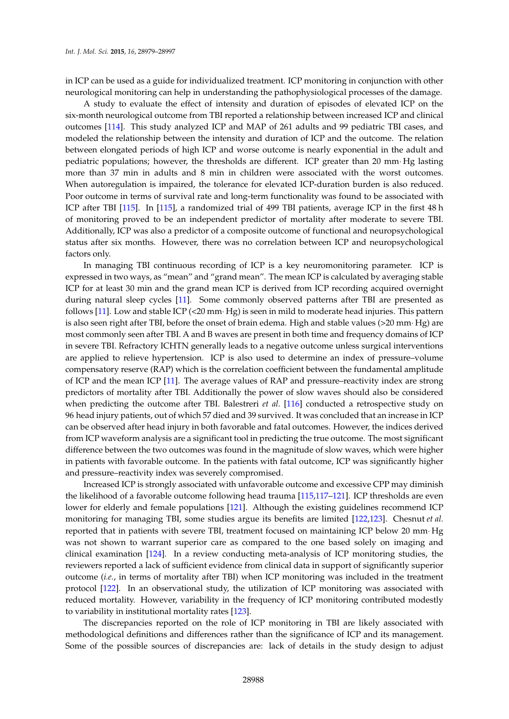in ICP can be used as a guide for individualized treatment. ICP monitoring in conjunction with other neurological monitoring can help in understanding the pathophysiological processes of the damage.

A study to evaluate the effect of intensity and duration of episodes of elevated ICP on the six-month neurological outcome from TBI reported a relationship between increased ICP and clinical outcomes [\[114\]](#page-17-7). This study analyzed ICP and MAP of 261 adults and 99 pediatric TBI cases, and modeled the relationship between the intensity and duration of ICP and the outcome. The relation between elongated periods of high ICP and worse outcome is nearly exponential in the adult and pediatric populations; however, the thresholds are different. ICP greater than 20 mm Hg lasting more than 37 min in adults and 8 min in children were associated with the worst outcomes. When autoregulation is impaired, the tolerance for elevated ICP-duration burden is also reduced. Poor outcome in terms of survival rate and long-term functionality was found to be associated with ICP after TBI [\[115\]](#page-17-8). In [\[115\]](#page-17-8), a randomized trial of 499 TBI patients, average ICP in the first 48 h of monitoring proved to be an independent predictor of mortality after moderate to severe TBI. Additionally, ICP was also a predictor of a composite outcome of functional and neuropsychological status after six months. However, there was no correlation between ICP and neuropsychological factors only.

In managing TBI continuous recording of ICP is a key neuromonitoring parameter. ICP is expressed in two ways, as "mean" and "grand mean". The mean ICP is calculated by averaging stable ICP for at least 30 min and the grand mean ICP is derived from ICP recording acquired overnight during natural sleep cycles [\[11\]](#page-12-8). Some commonly observed patterns after TBI are presented as follows [\[11\]](#page-12-8). Low and stable ICP  $\left($  <20 mm $\cdot$  Hg) is seen in mild to moderate head injuries. This pattern is also seen right after TBI, before the onset of brain edema. High and stable values  $(>20$  mm $\cdot$  Hg) are most commonly seen after TBI. A and B waves are present in both time and frequency domains of ICP in severe TBI. Refractory ICHTN generally leads to a negative outcome unless surgical interventions are applied to relieve hypertension. ICP is also used to determine an index of pressure–volume compensatory reserve (RAP) which is the correlation coefficient between the fundamental amplitude of ICP and the mean ICP [\[11\]](#page-12-8). The average values of RAP and pressure–reactivity index are strong predictors of mortality after TBI. Additionally the power of slow waves should also be considered when predicting the outcome after TBI. Balestreri *et al.* [\[116\]](#page-17-9) conducted a retrospective study on 96 head injury patients, out of which 57 died and 39 survived. It was concluded that an increase in ICP can be observed after head injury in both favorable and fatal outcomes. However, the indices derived from ICP waveform analysis are a significant tool in predicting the true outcome. The most significant difference between the two outcomes was found in the magnitude of slow waves, which were higher in patients with favorable outcome. In the patients with fatal outcome, ICP was significantly higher and pressure–reactivity index was severely compromised.

Increased ICP is strongly associated with unfavorable outcome and excessive CPP may diminish the likelihood of a favorable outcome following head trauma [\[115,](#page-17-8)[117](#page-17-10)[–121\]](#page-17-11). ICP thresholds are even lower for elderly and female populations [\[121\]](#page-17-11). Although the existing guidelines recommend ICP monitoring for managing TBI, some studies argue its benefits are limited [\[122](#page-17-12)[,123\]](#page-17-13). Chesnut *et al.* reported that in patients with severe TBI, treatment focused on maintaining ICP below 20 mm· Hg was not shown to warrant superior care as compared to the one based solely on imaging and clinical examination [\[124\]](#page-17-14). In a review conducting meta-analysis of ICP monitoring studies, the reviewers reported a lack of sufficient evidence from clinical data in support of significantly superior outcome (*i.e.*, in terms of mortality after TBI) when ICP monitoring was included in the treatment protocol [\[122\]](#page-17-12). In an observational study, the utilization of ICP monitoring was associated with reduced mortality. However, variability in the frequency of ICP monitoring contributed modestly to variability in institutional mortality rates [\[123\]](#page-17-13).

The discrepancies reported on the role of ICP monitoring in TBI are likely associated with methodological definitions and differences rather than the significance of ICP and its management. Some of the possible sources of discrepancies are: lack of details in the study design to adjust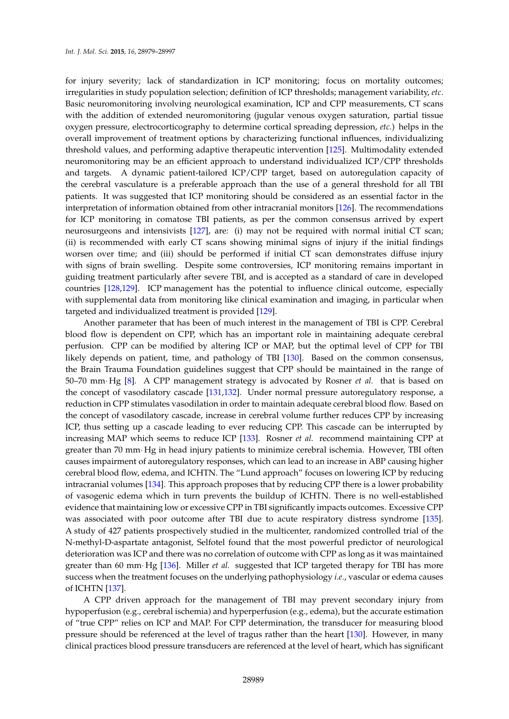for injury severity; lack of standardization in ICP monitoring; focus on mortality outcomes; irregularities in study population selection; definition of ICP thresholds; management variability, *etc*. Basic neuromonitoring involving neurological examination, ICP and CPP measurements, CT scans with the addition of extended neuromonitoring (jugular venous oxygen saturation, partial tissue oxygen pressure, electrocorticography to determine cortical spreading depression, *etc.*) helps in the overall improvement of treatment options by characterizing functional influences, individualizing threshold values, and performing adaptive therapeutic intervention [\[125\]](#page-17-15). Multimodality extended neuromonitoring may be an efficient approach to understand individualized ICP/CPP thresholds and targets. A dynamic patient-tailored ICP/CPP target, based on autoregulation capacity of the cerebral vasculature is a preferable approach than the use of a general threshold for all TBI patients. It was suggested that ICP monitoring should be considered as an essential factor in the interpretation of information obtained from other intracranial monitors [\[126\]](#page-17-16). The recommendations for ICP monitoring in comatose TBI patients, as per the common consensus arrived by expert neurosurgeons and intensivists [\[127\]](#page-18-0), are: (i) may not be required with normal initial CT scan; (ii) is recommended with early CT scans showing minimal signs of injury if the initial findings worsen over time; and (iii) should be performed if initial CT scan demonstrates diffuse injury with signs of brain swelling. Despite some controversies, ICP monitoring remains important in guiding treatment particularly after severe TBI, and is accepted as a standard of care in developed countries [\[128,](#page-18-1)[129\]](#page-18-2). ICP management has the potential to influence clinical outcome, especially with supplemental data from monitoring like clinical examination and imaging, in particular when targeted and individualized treatment is provided [\[129\]](#page-18-2).

Another parameter that has been of much interest in the management of TBI is CPP. Cerebral blood flow is dependent on CPP, which has an important role in maintaining adequate cerebral perfusion. CPP can be modified by altering ICP or MAP, but the optimal level of CPP for TBI likely depends on patient, time, and pathology of TBI [\[130\]](#page-18-3). Based on the common consensus, the Brain Trauma Foundation guidelines suggest that CPP should be maintained in the range of 50–70 mm¨ Hg [\[8\]](#page-12-5). A CPP management strategy is advocated by Rosner *et al.* that is based on the concept of vasodilatory cascade [\[131](#page-18-4)[,132\]](#page-18-5). Under normal pressure autoregulatory response, a reduction in CPP stimulates vasodilation in order to maintain adequate cerebral blood flow. Based on the concept of vasodilatory cascade, increase in cerebral volume further reduces CPP by increasing ICP, thus setting up a cascade leading to ever reducing CPP. This cascade can be interrupted by increasing MAP which seems to reduce ICP [\[133\]](#page-18-6). Rosner *et al.* recommend maintaining CPP at greater than 70 mm¨ Hg in head injury patients to minimize cerebral ischemia. However, TBI often causes impairment of autoregulatory responses, which can lead to an increase in ABP causing higher cerebral blood flow, edema, and ICHTN. The "Lund approach" focuses on lowering ICP by reducing intracranial volumes [\[134\]](#page-18-7). This approach proposes that by reducing CPP there is a lower probability of vasogenic edema which in turn prevents the buildup of ICHTN. There is no well-established evidence that maintaining low or excessive CPP in TBI significantly impacts outcomes. Excessive CPP was associated with poor outcome after TBI due to acute respiratory distress syndrome [\[135\]](#page-18-8). A study of 427 patients prospectively studied in the multicenter, randomized controlled trial of the N-methyl-D-aspartate antagonist, Selfotel found that the most powerful predictor of neurological deterioration was ICP and there was no correlation of outcome with CPP as long as it was maintained greater than 60 mm¨ Hg [\[136\]](#page-18-9). Miller *et al.* suggested that ICP targeted therapy for TBI has more success when the treatment focuses on the underlying pathophysiology *i.e.*, vascular or edema causes of ICHTN [\[137\]](#page-18-10).

A CPP driven approach for the management of TBI may prevent secondary injury from hypoperfusion (e.g., cerebral ischemia) and hyperperfusion (e.g., edema), but the accurate estimation of "true CPP" relies on ICP and MAP. For CPP determination, the transducer for measuring blood pressure should be referenced at the level of tragus rather than the heart [\[130\]](#page-18-3). However, in many clinical practices blood pressure transducers are referenced at the level of heart, which has significant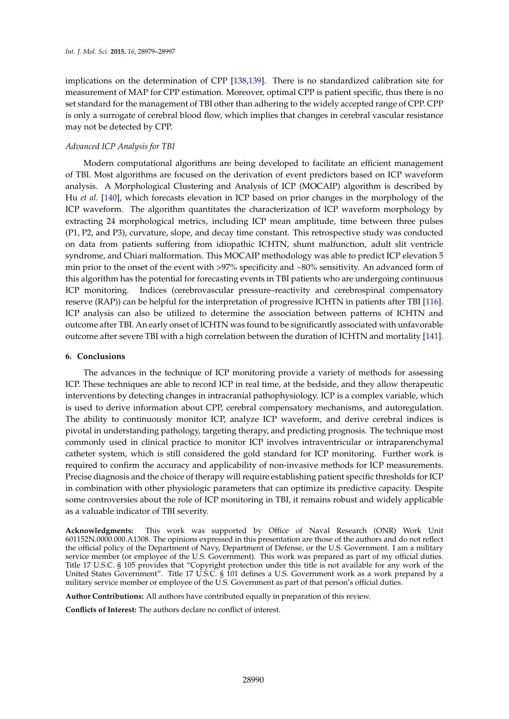implications on the determination of CPP [\[138](#page-18-11)[,139\]](#page-18-12). There is no standardized calibration site for measurement of MAP for CPP estimation. Moreover, optimal CPP is patient specific, thus there is no set standard for the management of TBI other than adhering to the widely accepted range of CPP. CPP is only a surrogate of cerebral blood flow, which implies that changes in cerebral vascular resistance may not be detected by CPP.

# *Advanced ICP Analysis for TBI*

Modern computational algorithms are being developed to facilitate an efficient management of TBI. Most algorithms are focused on the derivation of event predictors based on ICP waveform analysis. A Morphological Clustering and Analysis of ICP (MOCAIP) algorithm is described by Hu *et al.* [\[140\]](#page-18-13), which forecasts elevation in ICP based on prior changes in the morphology of the ICP waveform. The algorithm quantitates the characterization of ICP waveform morphology by extracting 24 morphological metrics, including ICP mean amplitude, time between three pulses (P1, P2, and P3), curvature, slope, and decay time constant. This retrospective study was conducted on data from patients suffering from idiopathic ICHTN, shunt malfunction, adult slit ventricle syndrome, and Chiari malformation. This MOCAIP methodology was able to predict ICP elevation 5 min prior to the onset of the event with >97% specificity and ~80% sensitivity. An advanced form of this algorithm has the potential for forecasting events in TBI patients who are undergoing continuous ICP monitoring. Indices (cerebrovascular pressure–reactivity and cerebrospinal compensatory reserve (RAP)) can be helpful for the interpretation of progressive ICHTN in patients after TBI [\[116\]](#page-17-9). ICP analysis can also be utilized to determine the association between patterns of ICHTN and outcome after TBI. An early onset of ICHTN was found to be significantly associated with unfavorable outcome after severe TBI with a high correlation between the duration of ICHTN and mortality [\[141\]](#page-18-14).

# **6. Conclusions**

The advances in the technique of ICP monitoring provide a variety of methods for assessing ICP. These techniques are able to record ICP in real time, at the bedside, and they allow therapeutic interventions by detecting changes in intracranial pathophysiology. ICP is a complex variable, which is used to derive information about CPP, cerebral compensatory mechanisms, and autoregulation. The ability to continuously monitor ICP, analyze ICP waveform, and derive cerebral indices is pivotal in understanding pathology, targeting therapy, and predicting prognosis. The technique most commonly used in clinical practice to monitor ICP involves intraventricular or intraparenchymal catheter system, which is still considered the gold standard for ICP monitoring. Further work is required to confirm the accuracy and applicability of non-invasive methods for ICP measurements. Precise diagnosis and the choice of therapy will require establishing patient specific thresholds for ICP in combination with other physiologic parameters that can optimize its predictive capacity. Despite some controversies about the role of ICP monitoring in TBI, it remains robust and widely applicable as a valuable indicator of TBI severity.

**Acknowledgments:** This work was supported by Office of Naval Research (ONR) Work Unit 601152N.0000.000.A1308. The opinions expressed in this presentation are those of the authors and do not reflect the official policy of the Department of Navy, Department of Defense, or the U.S. Government. I am a military service member (or employee of the U.S. Government). This work was prepared as part of my official duties. Title 17 U.S.C. § 105 provides that "Copyright protection under this title is not available for any work of the United States Government". Title 17 U.S.C. § 101 defines a U.S. Government work as a work prepared by a military service member or employee of the U.S. Government as part of that person's official duties.

**Author Contributions:** All authors have contributed equally in preparation of this review.

**Conflicts of Interest:** The authors declare no conflict of interest.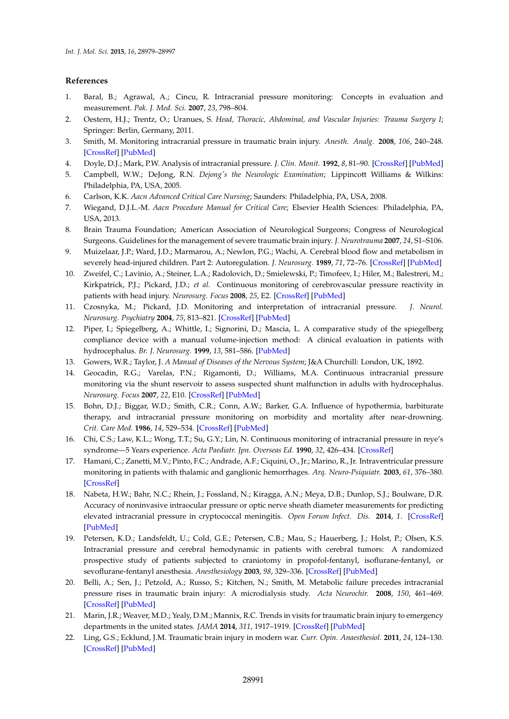# **References**

- <span id="page-12-0"></span>1. Baral, B.; Agrawal, A.; Cincu, R. Intracranial pressure monitoring: Concepts in evaluation and measurement. *Pak. J. Med. Sci.* **2007**, *23*, 798–804.
- <span id="page-12-1"></span>2. Oestern, H.J.; Trentz, O.; Uranues, S. *Head, Thoracic, Abdominal, and Vascular Injuries: Trauma Surgery I*; Springer: Berlin, Germany, 2011.
- <span id="page-12-2"></span>3. Smith, M. Monitoring intracranial pressure in traumatic brain injury. *Anesth. Analg.* **2008**, *106*, 240–248. [\[CrossRef\]](http://dx.doi.org/10.1213/01.ane.0000297296.52006.8e) [\[PubMed\]](http://www.ncbi.nlm.nih.gov/pubmed/18165584)
- <span id="page-12-3"></span>4. Doyle, D.J.; Mark, P.W. Analysis of intracranial pressure. *J. Clin. Monit.* **1992**, *8*, 81–90. [\[CrossRef\]](http://dx.doi.org/10.1007/BF01618093) [\[PubMed\]](http://www.ncbi.nlm.nih.gov/pubmed/1538258)
- 5. Campbell, W.W.; DeJong, R.N. *Dejong's the Neurologic Examination*; Lippincott Williams & Wilkins: Philadelphia, PA, USA, 2005.
- 6. Carlson, K.K. *Aacn Advanced Critical Care Nursing*; Saunders: Philadelphia, PA, USA, 2008.
- <span id="page-12-4"></span>7. Wiegand, D.J.L.-M. *Aacn Procedure Manual for Critical Care*; Elsevier Health Sciences: Philadelphia, PA, USA, 2013.
- <span id="page-12-5"></span>8. Brain Trauma Foundation; American Association of Neurological Surgeons; Congress of Neurological Surgeons. Guidelines for the management of severe traumatic brain injury. *J. Neurotrauma* **2007**, *24*, S1–S106.
- <span id="page-12-6"></span>9. Muizelaar, J.P.; Ward, J.D.; Marmarou, A.; Newlon, P.G.; Wachi, A. Cerebral blood flow and metabolism in severely head-injured children. Part 2: Autoregulation. *J. Neurosurg.* **1989**, *71*, 72–76. [\[CrossRef\]](http://dx.doi.org/10.3171/jns.1989.71.1.0072) [\[PubMed\]](http://www.ncbi.nlm.nih.gov/pubmed/2738644)
- <span id="page-12-7"></span>10. Zweifel, C.; Lavinio, A.; Steiner, L.A.; Radolovich, D.; Smielewski, P.; Timofeev, I.; Hiler, M.; Balestreri, M.; Kirkpatrick, P.J.; Pickard, J.D.; *et al*. Continuous monitoring of cerebrovascular pressure reactivity in patients with head injury. *Neurosurg. Focus* **2008**, *25*, E2. [\[CrossRef\]](http://dx.doi.org/10.3171/FOC.2008.25.10.E2) [\[PubMed\]](http://www.ncbi.nlm.nih.gov/pubmed/18828700)
- <span id="page-12-8"></span>11. Czosnyka, M.; Pickard, J.D. Monitoring and interpretation of intracranial pressure. *J. Neurol. Neurosurg. Psychiatry* **2004**, *75*, 813–821. [\[CrossRef\]](http://dx.doi.org/10.1136/jnnp.2003.033126) [\[PubMed\]](http://www.ncbi.nlm.nih.gov/pubmed/15145991)
- <span id="page-12-9"></span>12. Piper, I.; Spiegelberg, A.; Whittle, I.; Signorini, D.; Mascia, L. A comparative study of the spiegelberg compliance device with a manual volume-injection method: A clinical evaluation in patients with hydrocephalus. *Br. J. Neurosurg.* **1999**, *13*, 581–586. [\[PubMed\]](http://www.ncbi.nlm.nih.gov/pubmed/10715727)
- <span id="page-12-10"></span>13. Gowers, W.R.; Taylor, J. *A Manual of Diseases of the Nervous System*; J&A Churchill: London, UK, 1892.
- <span id="page-12-11"></span>14. Geocadin, R.G.; Varelas, P.N.; Rigamonti, D.; Williams, M.A. Continuous intracranial pressure monitoring via the shunt reservoir to assess suspected shunt malfunction in adults with hydrocephalus. *Neurosurg. Focus* **2007**, *22*, E10. [\[CrossRef\]](http://dx.doi.org/10.3171/foc.2007.22.4.12) [\[PubMed\]](http://www.ncbi.nlm.nih.gov/pubmed/17613188)
- <span id="page-12-12"></span>15. Bohn, D.J.; Biggar, W.D.; Smith, C.R.; Conn, A.W.; Barker, G.A. Influence of hypothermia, barbiturate therapy, and intracranial pressure monitoring on morbidity and mortality after near-drowning. *Crit. Care Med.* **1986**, *14*, 529–534. [\[CrossRef\]](http://dx.doi.org/10.1097/00003246-198606000-00002) [\[PubMed\]](http://www.ncbi.nlm.nih.gov/pubmed/3709193)
- <span id="page-12-13"></span>16. Chi, C.S.; Law, K.L.; Wong, T.T.; Su, G.Y.; Lin, N. Continuous monitoring of intracranial pressure in reye's syndrome—5 Years experience. *Acta Paediatr. Jpn. Overseas Ed.* **1990**, *32*, 426–434. [\[CrossRef\]](http://dx.doi.org/10.1111/j.1442-200X.1990.tb00856.x)
- <span id="page-12-14"></span>17. Hamani, C.; Zanetti, M.V.; Pinto, F.C.; Andrade, A.F.; Ciquini, O., Jr.; Marino, R., Jr. Intraventricular pressure monitoring in patients with thalamic and ganglionic hemorrhages. *Arq. Neuro-Psiquiatr.* **2003**, *61*, 376–380. [\[CrossRef\]](http://dx.doi.org/10.1590/S0004-282X2003000300010)
- <span id="page-12-15"></span>18. Nabeta, H.W.; Bahr, N.C.; Rhein, J.; Fossland, N.; Kiragga, A.N.; Meya, D.B.; Dunlop, S.J.; Boulware, D.R. Accuracy of noninvasive intraocular pressure or optic nerve sheath diameter measurements for predicting elevated intracranial pressure in cryptococcal meningitis. *Open Forum Infect. Dis.* **2014**, *1*. [\[CrossRef\]](http://dx.doi.org/10.1093/ofid/ofu093) [\[PubMed\]](http://www.ncbi.nlm.nih.gov/pubmed/25734161)
- <span id="page-12-16"></span>19. Petersen, K.D.; Landsfeldt, U.; Cold, G.E.; Petersen, C.B.; Mau, S.; Hauerberg, J.; Holst, P.; Olsen, K.S. Intracranial pressure and cerebral hemodynamic in patients with cerebral tumors: A randomized prospective study of patients subjected to craniotomy in propofol-fentanyl, isoflurane-fentanyl, or sevoflurane-fentanyl anesthesia. *Anesthesiology* **2003**, *98*, 329–336. [\[CrossRef\]](http://dx.doi.org/10.1097/00000542-200302000-00010) [\[PubMed\]](http://www.ncbi.nlm.nih.gov/pubmed/12552189)
- <span id="page-12-17"></span>20. Belli, A.; Sen, J.; Petzold, A.; Russo, S.; Kitchen, N.; Smith, M. Metabolic failure precedes intracranial pressure rises in traumatic brain injury: A microdialysis study. *Acta Neurochir.* **2008**, *150*, 461–469. [\[CrossRef\]](http://dx.doi.org/10.1007/s00701-008-1580-3) [\[PubMed\]](http://www.ncbi.nlm.nih.gov/pubmed/18421408)
- <span id="page-12-18"></span>21. Marin, J.R.; Weaver, M.D.; Yealy, D.M.; Mannix, R.C. Trends in visits for traumatic brain injury to emergency departments in the united states. *JAMA* **2014**, *311*, 1917–1919. [\[CrossRef\]](http://dx.doi.org/10.1001/jama.2014.3979) [\[PubMed\]](http://www.ncbi.nlm.nih.gov/pubmed/24825648)
- <span id="page-12-19"></span>22. Ling, G.S.; Ecklund, J.M. Traumatic brain injury in modern war. *Curr. Opin. Anaesthesiol.* **2011**, *24*, 124–130. [\[CrossRef\]](http://dx.doi.org/10.1097/ACO.0b013e32834458da) [\[PubMed\]](http://www.ncbi.nlm.nih.gov/pubmed/21301332)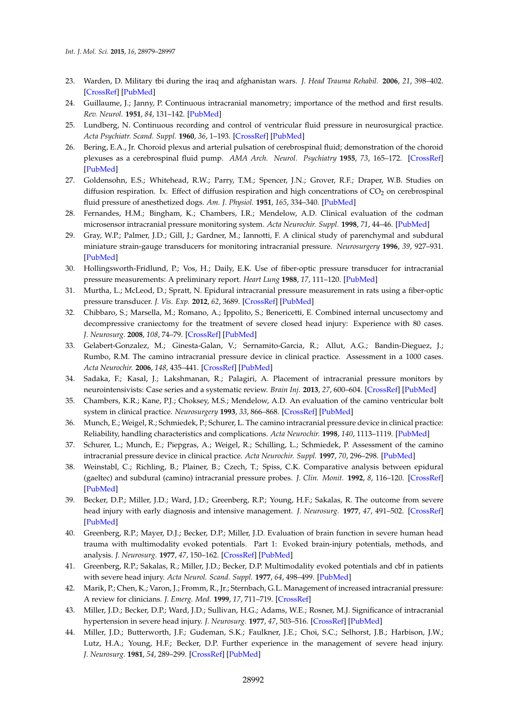- <span id="page-13-0"></span>23. Warden, D. Military tbi during the iraq and afghanistan wars. *J. Head Trauma Rehabil.* **2006**, *21*, 398–402. [\[CrossRef\]](http://dx.doi.org/10.1097/00001199-200609000-00004) [\[PubMed\]](http://www.ncbi.nlm.nih.gov/pubmed/16983225)
- <span id="page-13-1"></span>24. Guillaume, J.; Janny, P. Continuous intracranial manometry; importance of the method and first results. *Rev. Neurol.* **1951**, *84*, 131–142. [\[PubMed\]](http://www.ncbi.nlm.nih.gov/pubmed/14845379)
- <span id="page-13-2"></span>25. Lundberg, N. Continuous recording and control of ventricular fluid pressure in neurosurgical practice. *Acta Psychiatr. Scand. Suppl.* **1960**, *36*, 1–193. [\[CrossRef\]](http://dx.doi.org/10.1097/00005072-196207000-00018) [\[PubMed\]](http://www.ncbi.nlm.nih.gov/pubmed/13764297)
- 26. Bering, E.A., Jr. Choroid plexus and arterial pulsation of cerebrospinal fluid; demonstration of the choroid plexuses as a cerebrospinal fluid pump. *AMA Arch. Neurol. Psychiatry* **1955**, *73*, 165–172. [\[CrossRef\]](http://dx.doi.org/10.1001/archneurpsyc.1955.02330080043012) [\[PubMed\]](http://www.ncbi.nlm.nih.gov/pubmed/13227669)
- <span id="page-13-3"></span>27. Goldensohn, E.S.; Whitehead, R.W.; Parry, T.M.; Spencer, J.N.; Grover, R.F.; Draper, W.B. Studies on diffusion respiration. Ix. Effect of diffusion respiration and high concentrations of  $CO<sub>2</sub>$  on cerebrospinal fluid pressure of anesthetized dogs. *Am. J. Physiol.* **1951**, *165*, 334–340. [\[PubMed\]](http://www.ncbi.nlm.nih.gov/pubmed/14838118)
- <span id="page-13-4"></span>28. Fernandes, H.M.; Bingham, K.; Chambers, I.R.; Mendelow, A.D. Clinical evaluation of the codman microsensor intracranial pressure monitoring system. *Acta Neurochir. Suppl.* **1998**, *71*, 44–46. [\[PubMed\]](http://www.ncbi.nlm.nih.gov/pubmed/9779140)
- <span id="page-13-5"></span>29. Gray, W.P.; Palmer, J.D.; Gill, J.; Gardner, M.; Iannotti, F. A clinical study of parenchymal and subdural miniature strain-gauge transducers for monitoring intracranial pressure. *Neurosurgery* **1996**, *39*, 927–931. [\[PubMed\]](http://www.ncbi.nlm.nih.gov/pubmed/8905747)
- <span id="page-13-6"></span>30. Hollingsworth-Fridlund, P.; Vos, H.; Daily, E.K. Use of fiber-optic pressure transducer for intracranial pressure measurements: A preliminary report. *Heart Lung* **1988**, *17*, 111–120. [\[PubMed\]](http://www.ncbi.nlm.nih.gov/pubmed/3350679)
- 31. Murtha, L.; McLeod, D.; Spratt, N. Epidural intracranial pressure measurement in rats using a fiber-optic pressure transducer. *J. Vis. Exp.* **2012**, *62*, 3689. [\[CrossRef\]](http://dx.doi.org/10.3791/3689) [\[PubMed\]](http://www.ncbi.nlm.nih.gov/pubmed/22565931)
- <span id="page-13-7"></span>32. Chibbaro, S.; Marsella, M.; Romano, A.; Ippolito, S.; Benericetti, E. Combined internal uncusectomy and decompressive craniectomy for the treatment of severe closed head injury: Experience with 80 cases. *J. Neurosurg.* **2008**, *108*, 74–79. [\[CrossRef\]](http://dx.doi.org/10.3171/JNS/2008/108/01/0074) [\[PubMed\]](http://www.ncbi.nlm.nih.gov/pubmed/18173313)
- <span id="page-13-8"></span>33. Gelabert-Gonzalez, M.; Ginesta-Galan, V.; Sernamito-Garcia, R.; Allut, A.G.; Bandin-Dieguez, J.; Rumbo, R.M. The camino intracranial pressure device in clinical practice. Assessment in a 1000 cases. *Acta Neurochir.* **2006**, *148*, 435–441. [\[CrossRef\]](http://dx.doi.org/10.1007/s00701-005-0683-3) [\[PubMed\]](http://www.ncbi.nlm.nih.gov/pubmed/16374566)
- <span id="page-13-9"></span>34. Sadaka, F.; Kasal, J.; Lakshmanan, R.; Palagiri, A. Placement of intracranial pressure monitors by neurointensivists: Case series and a systematic review. *Brain Inj.* **2013**, *27*, 600–604. [\[CrossRef\]](http://dx.doi.org/10.3109/02699052.2013.772238) [\[PubMed\]](http://www.ncbi.nlm.nih.gov/pubmed/23473439)
- <span id="page-13-10"></span>35. Chambers, K.R.; Kane, P.J.; Choksey, M.S.; Mendelow, A.D. An evaluation of the camino ventricular bolt system in clinical practice. *Neurosurgery* **1993**, *33*, 866–868. [\[CrossRef\]](http://dx.doi.org/10.1227/00006123-199311000-00013) [\[PubMed\]](http://www.ncbi.nlm.nih.gov/pubmed/8264885)
- <span id="page-13-12"></span>36. Munch, E.; Weigel, R.; Schmiedek, P.; Schurer, L. The camino intracranial pressure device in clinical practice: Reliability, handling characteristics and complications. *Acta Neurochir.* **1998**, *140*, 1113–1119. [\[PubMed\]](http://www.ncbi.nlm.nih.gov/pubmed/9870055)
- <span id="page-13-11"></span>37. Schurer, L.; Munch, E.; Piepgras, A.; Weigel, R.; Schilling, L.; Schmiedek, P. Assessment of the camino intracranial pressure device in clinical practice. *Acta Neurochir. Suppl.* **1997**, *70*, 296–298. [\[PubMed\]](http://www.ncbi.nlm.nih.gov/pubmed/9416352)
- <span id="page-13-13"></span>38. Weinstabl, C.; Richling, B.; Plainer, B.; Czech, T.; Spiss, C.K. Comparative analysis between epidural (gaeltec) and subdural (camino) intracranial pressure probes. *J. Clin. Monit.* **1992**, *8*, 116–120. [\[CrossRef\]](http://dx.doi.org/10.1007/BF01617429) [\[PubMed\]](http://www.ncbi.nlm.nih.gov/pubmed/1583546)
- <span id="page-13-14"></span>39. Becker, D.P.; Miller, J.D.; Ward, J.D.; Greenberg, R.P.; Young, H.F.; Sakalas, R. The outcome from severe head injury with early diagnosis and intensive management. *J. Neurosurg.* **1977**, *47*, 491–502. [\[CrossRef\]](http://dx.doi.org/10.3171/jns.1977.47.4.0491) [\[PubMed\]](http://www.ncbi.nlm.nih.gov/pubmed/903803)
- 40. Greenberg, R.P.; Mayer, D.J.; Becker, D.P.; Miller, J.D. Evaluation of brain function in severe human head trauma with multimodality evoked potentials. Part 1: Evoked brain-injury potentials, methods, and analysis. *J. Neurosurg.* **1977**, *47*, 150–162. [\[CrossRef\]](http://dx.doi.org/10.3171/jns.1977.47.2.0150) [\[PubMed\]](http://www.ncbi.nlm.nih.gov/pubmed/874542)
- 41. Greenberg, R.P.; Sakalas, R.; Miller, J.D.; Becker, D.P. Multimodality evoked potentials and cbf in patients with severe head injury. *Acta Neurol. Scand. Suppl.* **1977**, *64*, 498–499. [\[PubMed\]](http://www.ncbi.nlm.nih.gov/pubmed/268888)
- 42. Marik, P.; Chen, K.; Varon, J.; Fromm, R., Jr.; Sternbach, G.L. Management of increased intracranial pressure: A review for clinicians. *J. Emerg. Med.* **1999**, *17*, 711–719. [\[CrossRef\]](http://dx.doi.org/10.1016/S0736-4679(99)00055-4)
- 43. Miller, J.D.; Becker, D.P.; Ward, J.D.; Sullivan, H.G.; Adams, W.E.; Rosner, M.J. Significance of intracranial hypertension in severe head injury. *J. Neurosurg.* **1977**, *47*, 503–516. [\[CrossRef\]](http://dx.doi.org/10.3171/jns.1977.47.4.0503) [\[PubMed\]](http://www.ncbi.nlm.nih.gov/pubmed/903804)
- <span id="page-13-15"></span>44. Miller, J.D.; Butterworth, J.F.; Gudeman, S.K.; Faulkner, J.E.; Choi, S.C.; Selhorst, J.B.; Harbison, J.W.; Lutz, H.A.; Young, H.F.; Becker, D.P. Further experience in the management of severe head injury. *J. Neurosurg.* **1981**, *54*, 289–299. [\[CrossRef\]](http://dx.doi.org/10.3171/jns.1981.54.3.0289) [\[PubMed\]](http://www.ncbi.nlm.nih.gov/pubmed/7463128)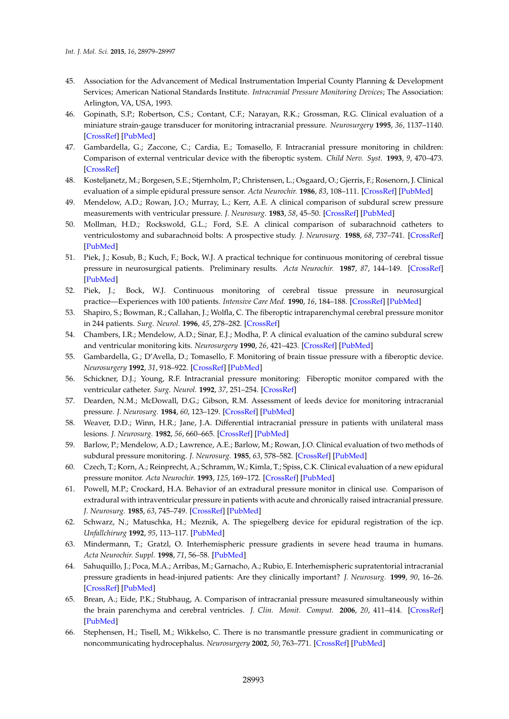- <span id="page-14-0"></span>45. Association for the Advancement of Medical Instrumentation Imperial County Planning & Development Services; American National Standards Institute. *Intracranial Pressure Monitoring Devices*; The Association: Arlington, VA, USA, 1993.
- <span id="page-14-1"></span>46. Gopinath, S.P.; Robertson, C.S.; Contant, C.F.; Narayan, R.K.; Grossman, R.G. Clinical evaluation of a miniature strain-gauge transducer for monitoring intracranial pressure. *Neurosurgery* **1995**, *36*, 1137–1140. [\[CrossRef\]](http://dx.doi.org/10.1227/00006123-199506000-00011) [\[PubMed\]](http://www.ncbi.nlm.nih.gov/pubmed/7643993)
- <span id="page-14-4"></span>47. Gambardella, G.; Zaccone, C.; Cardia, E.; Tomasello, F. Intracranial pressure monitoring in children: Comparison of external ventricular device with the fiberoptic system. *Child Nerv. Syst.* **1993**, *9*, 470–473. [\[CrossRef\]](http://dx.doi.org/10.1007/BF00393552)
- <span id="page-14-7"></span>48. Kosteljanetz, M.; Borgesen, S.E.; Stjernholm, P.; Christensen, L.; Osgaard, O.; Gjerris, F.; Rosenorn, J. Clinical evaluation of a simple epidural pressure sensor. *Acta Neurochir.* **1986**, *83*, 108–111. [\[CrossRef\]](http://dx.doi.org/10.1007/BF01402387) [\[PubMed\]](http://www.ncbi.nlm.nih.gov/pubmed/3812034)
- <span id="page-14-17"></span>49. Mendelow, A.D.; Rowan, J.O.; Murray, L.; Kerr, A.E. A clinical comparison of subdural screw pressure measurements with ventricular pressure. *J. Neurosurg.* **1983**, *58*, 45–50. [\[CrossRef\]](http://dx.doi.org/10.3171/jns.1983.58.1.0045) [\[PubMed\]](http://www.ncbi.nlm.nih.gov/pubmed/6847908)
- <span id="page-14-8"></span>50. Mollman, H.D.; Rockswold, G.L.; Ford, S.E. A clinical comparison of subarachnoid catheters to ventriculostomy and subarachnoid bolts: A prospective study. *J. Neurosurg.* **1988**, *68*, 737–741. [\[CrossRef\]](http://dx.doi.org/10.3171/jns.1988.68.5.0737) [\[PubMed\]](http://www.ncbi.nlm.nih.gov/pubmed/3357033)
- <span id="page-14-2"></span>51. Piek, J.; Kosub, B.; Kuch, F.; Bock, W.J. A practical technique for continuous monitoring of cerebral tissue pressure in neurosurgical patients. Preliminary results. *Acta Neurochir.* **1987**, *87*, 144–149. [\[CrossRef\]](http://dx.doi.org/10.1007/BF01476066) [\[PubMed\]](http://www.ncbi.nlm.nih.gov/pubmed/3673694)
- 52. Piek, J.; Bock, W.J. Continuous monitoring of cerebral tissue pressure in neurosurgical practice—Experiences with 100 patients. *Intensive Care Med.* **1990**, *16*, 184–188. [\[CrossRef\]](http://dx.doi.org/10.1007/BF01724800) [\[PubMed\]](http://www.ncbi.nlm.nih.gov/pubmed/2351779)
- <span id="page-14-3"></span>53. Shapiro, S.; Bowman, R.; Callahan, J.; Wolfla, C. The fiberoptic intraparenchymal cerebral pressure monitor in 244 patients. *Surg. Neurol.* **1996**, *45*, 278–282. [\[CrossRef\]](http://dx.doi.org/10.1016/0090-3019(95)00359-2)
- <span id="page-14-5"></span>54. Chambers, I.R.; Mendelow, A.D.; Sinar, E.J.; Modha, P. A clinical evaluation of the camino subdural screw and ventricular monitoring kits. *Neurosurgery* **1990**, *26*, 421–423. [\[CrossRef\]](http://dx.doi.org/10.1227/00006123-199003000-00007) [\[PubMed\]](http://www.ncbi.nlm.nih.gov/pubmed/2320210)
- 55. Gambardella, G.; D'Avella, D.; Tomasello, F. Monitoring of brain tissue pressure with a fiberoptic device. *Neurosurgery* **1992**, *31*, 918–922. [\[CrossRef\]](http://dx.doi.org/10.1227/00006123-199211000-00014) [\[PubMed\]](http://www.ncbi.nlm.nih.gov/pubmed/1436417)
- <span id="page-14-6"></span>56. Schickner, D.J.; Young, R.F. Intracranial pressure monitoring: Fiberoptic monitor compared with the ventricular catheter. *Surg. Neurol.* **1992**, *37*, 251–254. [\[CrossRef\]](http://dx.doi.org/10.1016/0090-3019(92)90147-F)
- <span id="page-14-9"></span>57. Dearden, N.M.; McDowall, D.G.; Gibson, R.M. Assessment of leeds device for monitoring intracranial pressure. *J. Neurosurg.* **1984**, *60*, 123–129. [\[CrossRef\]](http://dx.doi.org/10.3171/jns.1984.60.1.0123) [\[PubMed\]](http://www.ncbi.nlm.nih.gov/pubmed/6689704)
- 58. Weaver, D.D.; Winn, H.R.; Jane, J.A. Differential intracranial pressure in patients with unilateral mass lesions. *J. Neurosurg.* **1982**, *56*, 660–665. [\[CrossRef\]](http://dx.doi.org/10.3171/jns.1982.56.5.0660) [\[PubMed\]](http://www.ncbi.nlm.nih.gov/pubmed/7069478)
- <span id="page-14-10"></span>59. Barlow, P.; Mendelow, A.D.; Lawrence, A.E.; Barlow, M.; Rowan, J.O. Clinical evaluation of two methods of subdural pressure monitoring. *J. Neurosurg.* **1985**, *63*, 578–582. [\[CrossRef\]](http://dx.doi.org/10.3171/jns.1985.63.4.0578) [\[PubMed\]](http://www.ncbi.nlm.nih.gov/pubmed/4032022)
- <span id="page-14-11"></span>60. Czech, T.; Korn, A.; Reinprecht, A.; Schramm, W.; Kimla, T.; Spiss, C.K. Clinical evaluation of a new epidural pressure monitor. *Acta Neurochir.* **1993**, *125*, 169–172. [\[CrossRef\]](http://dx.doi.org/10.1007/BF01401846) [\[PubMed\]](http://www.ncbi.nlm.nih.gov/pubmed/8122544)
- 61. Powell, M.P.; Crockard, H.A. Behavior of an extradural pressure monitor in clinical use. Comparison of extradural with intraventricular pressure in patients with acute and chronically raised intracranial pressure. *J. Neurosurg.* **1985**, *63*, 745–749. [\[CrossRef\]](http://dx.doi.org/10.3171/jns.1985.63.5.0745) [\[PubMed\]](http://www.ncbi.nlm.nih.gov/pubmed/4056877)
- <span id="page-14-12"></span>62. Schwarz, N.; Matuschka, H.; Meznik, A. The spiegelberg device for epidural registration of the icp. *Unfallchirurg* **1992**, *95*, 113–117. [\[PubMed\]](http://www.ncbi.nlm.nih.gov/pubmed/1553562)
- <span id="page-14-13"></span>63. Mindermann, T.; Gratzl, O. Interhemispheric pressure gradients in severe head trauma in humans. *Acta Neurochir. Suppl.* **1998**, *71*, 56–58. [\[PubMed\]](http://www.ncbi.nlm.nih.gov/pubmed/9779144)
- <span id="page-14-14"></span>64. Sahuquillo, J.; Poca, M.A.; Arribas, M.; Garnacho, A.; Rubio, E. Interhemispheric supratentorial intracranial pressure gradients in head-injured patients: Are they clinically important? *J. Neurosurg.* **1999**, *90*, 16–26. [\[CrossRef\]](http://dx.doi.org/10.3171/jns.1999.90.1.0016) [\[PubMed\]](http://www.ncbi.nlm.nih.gov/pubmed/10413151)
- <span id="page-14-15"></span>65. Brean, A.; Eide, P.K.; Stubhaug, A. Comparison of intracranial pressure measured simultaneously within the brain parenchyma and cerebral ventricles. *J. Clin. Monit. Comput.* **2006**, *20*, 411–414. [\[CrossRef\]](http://dx.doi.org/10.1007/s10877-006-9047-7) [\[PubMed\]](http://www.ncbi.nlm.nih.gov/pubmed/17016744)
- <span id="page-14-16"></span>66. Stephensen, H.; Tisell, M.; Wikkelso, C. There is no transmantle pressure gradient in communicating or noncommunicating hydrocephalus. *Neurosurgery* **2002**, *50*, 763–771. [\[CrossRef\]](http://dx.doi.org/10.1097/00006123-200204000-00016) [\[PubMed\]](http://www.ncbi.nlm.nih.gov/pubmed/11904027)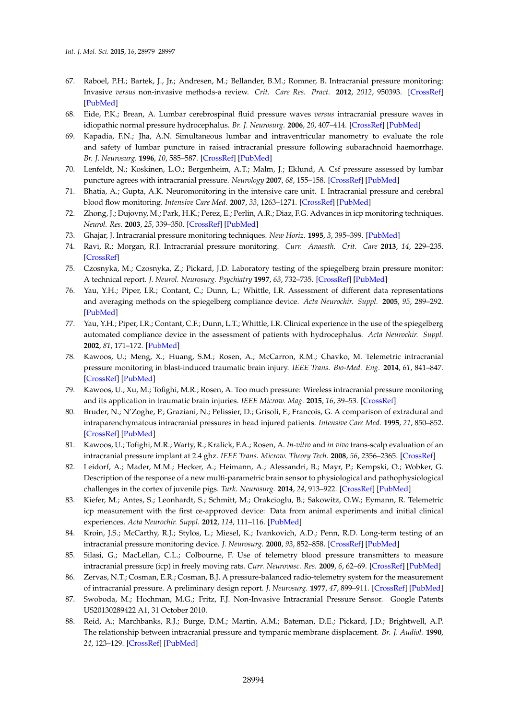- <span id="page-15-0"></span>67. Raboel, P.H.; Bartek, J., Jr.; Andresen, M.; Bellander, B.M.; Romner, B. Intracranial pressure monitoring: Invasive *versus* non-invasive methods-a review. *Crit. Care Res. Pract.* **2012**, *2012*, 950393. [\[CrossRef\]](http://dx.doi.org/10.1155/2012/950393) [\[PubMed\]](http://www.ncbi.nlm.nih.gov/pubmed/22720148)
- <span id="page-15-1"></span>68. Eide, P.K.; Brean, A. Lumbar cerebrospinal fluid pressure waves *versus* intracranial pressure waves in idiopathic normal pressure hydrocephalus. *Br. J. Neurosurg.* **2006**, *20*, 407–414. [\[CrossRef\]](http://dx.doi.org/10.1080/02688690601047312) [\[PubMed\]](http://www.ncbi.nlm.nih.gov/pubmed/17439094)
- 69. Kapadia, F.N.; Jha, A.N. Simultaneous lumbar and intraventricular manometry to evaluate the role and safety of lumbar puncture in raised intracranial pressure following subarachnoid haemorrhage. *Br. J. Neurosurg.* **1996**, *10*, 585–587. [\[CrossRef\]](http://dx.doi.org/10.1080/02688699646907) [\[PubMed\]](http://www.ncbi.nlm.nih.gov/pubmed/9115655)
- <span id="page-15-2"></span>70. Lenfeldt, N.; Koskinen, L.O.; Bergenheim, A.T.; Malm, J.; Eklund, A. Csf pressure assessed by lumbar puncture agrees with intracranial pressure. *Neurology* **2007**, *68*, 155–158. [\[CrossRef\]](http://dx.doi.org/10.1212/01.wnl.0000250270.54587.71) [\[PubMed\]](http://www.ncbi.nlm.nih.gov/pubmed/17210899)
- <span id="page-15-3"></span>71. Bhatia, A.; Gupta, A.K. Neuromonitoring in the intensive care unit. I. Intracranial pressure and cerebral blood flow monitoring. *Intensive Care Med.* **2007**, *33*, 1263–1271. [\[CrossRef\]](http://dx.doi.org/10.1007/s00134-007-0678-z) [\[PubMed\]](http://www.ncbi.nlm.nih.gov/pubmed/17522844)
- <span id="page-15-4"></span>72. Zhong, J.; Dujovny, M.; Park, H.K.; Perez, E.; Perlin, A.R.; Diaz, F.G. Advances in icp monitoring techniques. *Neurol. Res.* **2003**, *25*, 339–350. [\[CrossRef\]](http://dx.doi.org/10.1179/016164103101201661) [\[PubMed\]](http://www.ncbi.nlm.nih.gov/pubmed/12870259)
- <span id="page-15-5"></span>73. Ghajar, J. Intracranial pressure monitoring techniques. *New Horiz.* **1995**, *3*, 395–399. [\[PubMed\]](http://www.ncbi.nlm.nih.gov/pubmed/7496747)
- <span id="page-15-6"></span>74. Ravi, R.; Morgan, R.J. Intracranial pressure monitoring. *Curr. Anaesth. Crit. Care* **2013**, *14*, 229–235. [\[CrossRef\]](http://dx.doi.org/10.1016/j.cacc.2003.09.003)
- <span id="page-15-7"></span>75. Czosnyka, M.; Czosnyka, Z.; Pickard, J.D. Laboratory testing of the spiegelberg brain pressure monitor: A technical report. *J. Neurol. Neurosurg. Psychiatry* **1997**, *63*, 732–735. [\[CrossRef\]](http://dx.doi.org/10.1136/jnnp.63.6.732) [\[PubMed\]](http://www.ncbi.nlm.nih.gov/pubmed/9416806)
- 76. Yau, Y.H.; Piper, I.R.; Contant, C.; Dunn, L.; Whittle, I.R. Assessment of different data representations and averaging methods on the spiegelberg compliance device. *Acta Neurochir. Suppl.* **2005**, *95*, 289–292. [\[PubMed\]](http://www.ncbi.nlm.nih.gov/pubmed/16463867)
- <span id="page-15-8"></span>77. Yau, Y.H.; Piper, I.R.; Contant, C.F.; Dunn, L.T.; Whittle, I.R. Clinical experience in the use of the spiegelberg automated compliance device in the assessment of patients with hydrocephalus. *Acta Neurochir. Suppl.* **2002**, *81*, 171–172. [\[PubMed\]](http://www.ncbi.nlm.nih.gov/pubmed/12168295)
- <span id="page-15-9"></span>78. Kawoos, U.; Meng, X.; Huang, S.M.; Rosen, A.; McCarron, R.M.; Chavko, M. Telemetric intracranial pressure monitoring in blast-induced traumatic brain injury. *IEEE Trans. Bio-Med. Eng.* **2014**, *61*, 841–847. [\[CrossRef\]](http://dx.doi.org/10.1109/TBME.2013.2291239) [\[PubMed\]](http://www.ncbi.nlm.nih.gov/pubmed/24557686)
- <span id="page-15-10"></span>79. Kawoos, U.; Xu, M.; Tofighi, M.R.; Rosen, A. Too much pressure: Wireless intracranial pressure monitoring and its application in traumatic brain injuries. *IEEE Microw. Mag.* **2015**, *16*, 39–53. [\[CrossRef\]](http://dx.doi.org/10.1109/MMM.2014.2377585)
- <span id="page-15-11"></span>80. Bruder, N.; N'Zoghe, P.; Graziani, N.; Pelissier, D.; Grisoli, F.; Francois, G. A comparison of extradural and intraparenchymatous intracranial pressures in head injured patients. *Intensive Care Med.* **1995**, *21*, 850–852. [\[CrossRef\]](http://dx.doi.org/10.1007/BF01700971) [\[PubMed\]](http://www.ncbi.nlm.nih.gov/pubmed/8557876)
- <span id="page-15-12"></span>81. Kawoos, U.; Tofighi, M.R.; Warty, R.; Kralick, F.A.; Rosen, A. *In-vitro* and *in vivo* trans-scalp evaluation of an intracranial pressure implant at 2.4 ghz. *IEEE Trans. Microw. Theory Tech.* **2008**, *56*, 2356–2365. [\[CrossRef\]](http://dx.doi.org/10.1109/TMTT.2008.2004253)
- <span id="page-15-13"></span>82. Leidorf, A.; Mader, M.M.; Hecker, A.; Heimann, A.; Alessandri, B.; Mayr, P.; Kempski, O.; Wobker, G. Description of the response of a new multi-parametric brain sensor to physiological and pathophysiological challenges in the cortex of juvenile pigs. *Turk. Neurosurg.* **2014**, *24*, 913–922. [\[CrossRef\]](http://dx.doi.org/10.5137/1019-5149.JTN.11808-14.1) [\[PubMed\]](http://www.ncbi.nlm.nih.gov/pubmed/25448209)
- <span id="page-15-14"></span>83. Kiefer, M.; Antes, S.; Leonhardt, S.; Schmitt, M.; Orakcioglu, B.; Sakowitz, O.W.; Eymann, R. Telemetric icp measurement with the first ce-approved device: Data from animal experiments and initial clinical experiences. *Acta Neurochir. Suppl.* **2012**, *114*, 111–116. [\[PubMed\]](http://www.ncbi.nlm.nih.gov/pubmed/22327674)
- <span id="page-15-16"></span>84. Kroin, J.S.; McCarthy, R.J.; Stylos, L.; Miesel, K.; Ivankovich, A.D.; Penn, R.D. Long-term testing of an intracranial pressure monitoring device. *J. Neurosurg.* **2000**, *93*, 852–858. [\[CrossRef\]](http://dx.doi.org/10.3171/jns.2000.93.5.0852) [\[PubMed\]](http://www.ncbi.nlm.nih.gov/pubmed/11059668)
- <span id="page-15-17"></span>85. Silasi, G.; MacLellan, C.L.; Colbourne, F. Use of telemetry blood pressure transmitters to measure intracranial pressure (icp) in freely moving rats. *Curr. Neurovasc. Res.* **2009**, *6*, 62–69. [\[CrossRef\]](http://dx.doi.org/10.2174/156720209787466046) [\[PubMed\]](http://www.ncbi.nlm.nih.gov/pubmed/19355927)
- <span id="page-15-15"></span>86. Zervas, N.T.; Cosman, E.R.; Cosman, B.J. A pressure-balanced radio-telemetry system for the measurement of intracranial pressure. A preliminary design report. *J. Neurosurg.* **1977**, *47*, 899–911. [\[CrossRef\]](http://dx.doi.org/10.3171/jns.1977.47.6.0899) [\[PubMed\]](http://www.ncbi.nlm.nih.gov/pubmed/925744)
- <span id="page-15-18"></span>87. Swoboda, M.; Hochman, M.G.; Fritz, F.J. Non-Invasive Intracranial Pressure Sensor. Google Patents US20130289422 A1, 31 October 2010.
- <span id="page-15-19"></span>88. Reid, A.; Marchbanks, R.J.; Burge, D.M.; Martin, A.M.; Bateman, D.E.; Pickard, J.D.; Brightwell, A.P. The relationship between intracranial pressure and tympanic membrane displacement. *Br. J. Audiol.* **1990**, *24*, 123–129. [\[CrossRef\]](http://dx.doi.org/10.3109/03005369009077853) [\[PubMed\]](http://www.ncbi.nlm.nih.gov/pubmed/2350622)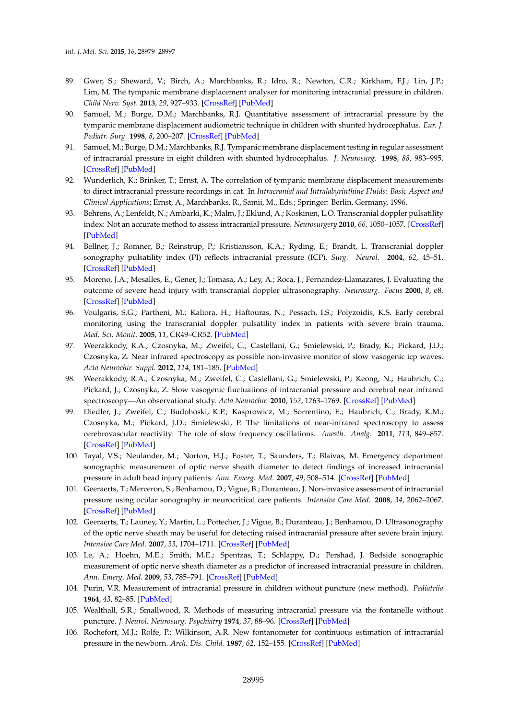- <span id="page-16-0"></span>89. Gwer, S.; Sheward, V.; Birch, A.; Marchbanks, R.; Idro, R.; Newton, C.R.; Kirkham, F.J.; Lin, J.P.; Lim, M. The tympanic membrane displacement analyser for monitoring intracranial pressure in children. *Child Nerv. Syst.* **2013**, *29*, 927–933. [\[CrossRef\]](http://dx.doi.org/10.1007/s00381-013-2036-5) [\[PubMed\]](http://www.ncbi.nlm.nih.gov/pubmed/23361337)
- 90. Samuel, M.; Burge, D.M.; Marchbanks, R.J. Quantitative assessment of intracranial pressure by the tympanic membrane displacement audiometric technique in children with shunted hydrocephalus. *Eur. J. Pediatr. Surg.* **1998**, *8*, 200–207. [\[CrossRef\]](http://dx.doi.org/10.1055/s-2008-1071154) [\[PubMed\]](http://www.ncbi.nlm.nih.gov/pubmed/9783141)
- <span id="page-16-1"></span>91. Samuel, M.; Burge, D.M.; Marchbanks, R.J. Tympanic membrane displacement testing in regular assessment of intracranial pressure in eight children with shunted hydrocephalus. *J. Neurosurg.* **1998**, *88*, 983–995. [\[CrossRef\]](http://dx.doi.org/10.3171/jns.1998.88.6.0983) [\[PubMed\]](http://www.ncbi.nlm.nih.gov/pubmed/9609292)
- <span id="page-16-2"></span>92. Wunderlich, K.; Brinker, T.; Ernst, A. The correlation of tympanic membrane displacement measurements to direct intracranial pressure recordings in cat. In *Intracranial and Intralabyrinthine Fluids: Basic Aspect and Clinical Applications*; Ernst, A., Marchbanks, R., Samii, M., Eds.; Springer: Berlin, Germany, 1996.
- <span id="page-16-3"></span>93. Behrens, A.; Lenfeldt, N.; Ambarki, K.; Malm, J.; Eklund, A.; Koskinen, L.O. Transcranial doppler pulsatility index: Not an accurate method to assess intracranial pressure. *Neurosurgery* **2010**, *66*, 1050–1057. [\[CrossRef\]](http://dx.doi.org/10.1227/01.NEU.0000369519.35932.F2) [\[PubMed\]](http://www.ncbi.nlm.nih.gov/pubmed/20495421)
- <span id="page-16-4"></span>94. Bellner, J.; Romner, B.; Reinstrup, P.; Kristiansson, K.A.; Ryding, E.; Brandt, L. Transcranial doppler sonography pulsatility index (PI) reflects intracranial pressure (ICP). *Surg. Neurol.* **2004**, *62*, 45–51. [\[CrossRef\]](http://dx.doi.org/10.1016/j.surneu.2003.12.007) [\[PubMed\]](http://www.ncbi.nlm.nih.gov/pubmed/15226070)
- <span id="page-16-5"></span>95. Moreno, J.A.; Mesalles, E.; Gener, J.; Tomasa, A.; Ley, A.; Roca, J.; Fernandez-Llamazares, J. Evaluating the outcome of severe head injury with transcranial doppler ultrasonography. *Neurosurg. Focus* **2000**, *8*, e8. [\[CrossRef\]](http://dx.doi.org/10.3171/foc.2000.8.1.1702) [\[PubMed\]](http://www.ncbi.nlm.nih.gov/pubmed/16906703)
- <span id="page-16-6"></span>96. Voulgaris, S.G.; Partheni, M.; Kaliora, H.; Haftouras, N.; Pessach, I.S.; Polyzoidis, K.S. Early cerebral monitoring using the transcranial doppler pulsatility index in patients with severe brain trauma. *Med. Sci. Monit.* **2005**, *11*, CR49–CR52. [\[PubMed\]](http://www.ncbi.nlm.nih.gov/pubmed/15668630)
- <span id="page-16-7"></span>97. Weerakkody, R.A.; Czosnyka, M.; Zweifel, C.; Castellani, G.; Smielewski, P.; Brady, K.; Pickard, J.D.; Czosnyka, Z. Near infrared spectroscopy as possible non-invasive monitor of slow vasogenic icp waves. *Acta Neurochir. Suppl.* **2012**, *114*, 181–185. [\[PubMed\]](http://www.ncbi.nlm.nih.gov/pubmed/22327689)
- <span id="page-16-8"></span>98. Weerakkody, R.A.; Czosnyka, M.; Zweifel, C.; Castellani, G.; Smielewski, P.; Keong, N.; Haubrich, C.; Pickard, J.; Czosnyka, Z. Slow vasogenic fluctuations of intracranial pressure and cerebral near infrared spectroscopy—An observational study. *Acta Neurochir.* **2010**, *152*, 1763–1769. [\[CrossRef\]](http://dx.doi.org/10.1007/s00701-010-0748-9) [\[PubMed\]](http://www.ncbi.nlm.nih.gov/pubmed/20700750)
- <span id="page-16-9"></span>99. Diedler, J.; Zweifel, C.; Budohoski, K.P.; Kasprowicz, M.; Sorrentino, E.; Haubrich, C.; Brady, K.M.; Czosnyka, M.; Pickard, J.D.; Smielewski, P. The limitations of near-infrared spectroscopy to assess cerebrovascular reactivity: The role of slow frequency oscillations. *Anesth. Analg.* **2011**, *113*, 849–857. [\[CrossRef\]](http://dx.doi.org/10.1213/ANE.0b013e3182285dc0) [\[PubMed\]](http://www.ncbi.nlm.nih.gov/pubmed/21821514)
- <span id="page-16-10"></span>100. Tayal, V.S.; Neulander, M.; Norton, H.J.; Foster, T.; Saunders, T.; Blaivas, M. Emergency department sonographic measurement of optic nerve sheath diameter to detect findings of increased intracranial pressure in adult head injury patients. *Ann. Emerg. Med.* **2007**, *49*, 508–514. [\[CrossRef\]](http://dx.doi.org/10.1016/j.annemergmed.2006.06.040) [\[PubMed\]](http://www.ncbi.nlm.nih.gov/pubmed/16997419)
- <span id="page-16-11"></span>101. Geeraerts, T.; Merceron, S.; Benhamou, D.; Vigue, B.; Duranteau, J. Non-invasive assessment of intracranial pressure using ocular sonography in neurocritical care patients. *Intensive Care Med.* **2008**, *34*, 2062–2067. [\[CrossRef\]](http://dx.doi.org/10.1007/s00134-008-1149-x) [\[PubMed\]](http://www.ncbi.nlm.nih.gov/pubmed/18509619)
- <span id="page-16-12"></span>102. Geeraerts, T.; Launey, Y.; Martin, L.; Pottecher, J.; Vigue, B.; Duranteau, J.; Benhamou, D. Ultrasonography of the optic nerve sheath may be useful for detecting raised intracranial pressure after severe brain injury. *Intensive Care Med.* **2007**, *33*, 1704–1711. [\[CrossRef\]](http://dx.doi.org/10.1007/s00134-007-0797-6) [\[PubMed\]](http://www.ncbi.nlm.nih.gov/pubmed/17668184)
- <span id="page-16-13"></span>103. Le, A.; Hoehn, M.E.; Smith, M.E.; Spentzas, T.; Schlappy, D.; Pershad, J. Bedside sonographic measurement of optic nerve sheath diameter as a predictor of increased intracranial pressure in children. *Ann. Emerg. Med.* **2009**, *53*, 785–791. [\[CrossRef\]](http://dx.doi.org/10.1016/j.annemergmed.2008.11.025) [\[PubMed\]](http://www.ncbi.nlm.nih.gov/pubmed/19167786)
- <span id="page-16-14"></span>104. Purin, V.R. Measurement of intracranial pressure in children without puncture (new method). *Pediatriia* **1964**, *43*, 82–85. [\[PubMed\]](http://www.ncbi.nlm.nih.gov/pubmed/14229015)
- <span id="page-16-15"></span>105. Wealthall, S.R.; Smallwood, R. Methods of measuring intracranial pressure via the fontanelle without puncture. *J. Neurol. Neurosurg. Psychiatry* **1974**, *37*, 88–96. [\[CrossRef\]](http://dx.doi.org/10.1136/jnnp.37.1.88) [\[PubMed\]](http://www.ncbi.nlm.nih.gov/pubmed/4813429)
- <span id="page-16-16"></span>106. Rochefort, M.J.; Rolfe, P.; Wilkinson, A.R. New fontanometer for continuous estimation of intracranial pressure in the newborn. *Arch. Dis. Child.* **1987**, *62*, 152–155. [\[CrossRef\]](http://dx.doi.org/10.1136/adc.62.2.152) [\[PubMed\]](http://www.ncbi.nlm.nih.gov/pubmed/3827293)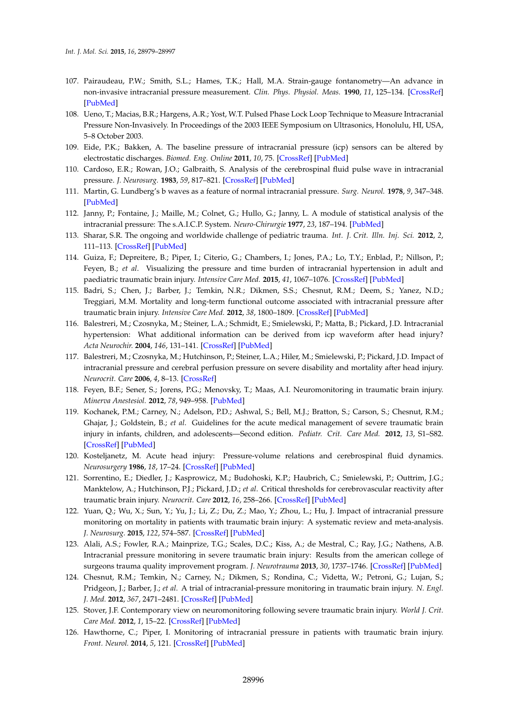- <span id="page-17-0"></span>107. Pairaudeau, P.W.; Smith, S.L.; Hames, T.K.; Hall, M.A. Strain-gauge fontanometry—An advance in non-invasive intracranial pressure measurement. *Clin. Phys. Physiol. Meas.* **1990**, *11*, 125–134. [\[CrossRef\]](http://dx.doi.org/10.1088/0143-0815/11/2/002) [\[PubMed\]](http://www.ncbi.nlm.nih.gov/pubmed/2364637)
- <span id="page-17-1"></span>108. Ueno, T.; Macias, B.R.; Hargens, A.R.; Yost, W.T. Pulsed Phase Lock Loop Technique to Measure Intracranial Pressure Non-Invasively. In Proceedings of the 2003 IEEE Symposium on Ultrasonics, Honolulu, HI, USA, 5–8 October 2003.
- <span id="page-17-2"></span>109. Eide, P.K.; Bakken, A. The baseline pressure of intracranial pressure (icp) sensors can be altered by electrostatic discharges. *Biomed. Eng. Online* **2011**, *10*, 75. [\[CrossRef\]](http://dx.doi.org/10.1186/1475-925X-10-75) [\[PubMed\]](http://www.ncbi.nlm.nih.gov/pubmed/21859487)
- <span id="page-17-3"></span>110. Cardoso, E.R.; Rowan, J.O.; Galbraith, S. Analysis of the cerebrospinal fluid pulse wave in intracranial pressure. *J. Neurosurg.* **1983**, *59*, 817–821. [\[CrossRef\]](http://dx.doi.org/10.3171/jns.1983.59.5.0817) [\[PubMed\]](http://www.ncbi.nlm.nih.gov/pubmed/6619934)
- <span id="page-17-4"></span>111. Martin, G. Lundberg's b waves as a feature of normal intracranial pressure. *Surg. Neurol.* **1978**, *9*, 347–348. [\[PubMed\]](http://www.ncbi.nlm.nih.gov/pubmed/675492)
- <span id="page-17-5"></span>112. Janny, P.; Fontaine, J.; Maille, M.; Colnet, G.; Hullo, G.; Janny, L. A module of statistical analysis of the intracranial pressure: The s.A.I.C.P. System. *Neuro-Chirurgie* **1977**, *23*, 187–194. [\[PubMed\]](http://www.ncbi.nlm.nih.gov/pubmed/917186)
- <span id="page-17-6"></span>113. Sharar, S.R. The ongoing and worldwide challenge of pediatric trauma. *Int. J. Crit. Illn. Inj. Sci.* **2012**, *2*, 111–113. [\[CrossRef\]](http://dx.doi.org/10.4103/2229-5151.100886) [\[PubMed\]](http://www.ncbi.nlm.nih.gov/pubmed/23181203)
- <span id="page-17-7"></span>114. Guiza, F.; Depreitere, B.; Piper, I.; Citerio, G.; Chambers, I.; Jones, P.A.; Lo, T.Y.; Enblad, P.; Nillson, P.; Feyen, B.; *et al*. Visualizing the pressure and time burden of intracranial hypertension in adult and paediatric traumatic brain injury. *Intensive Care Med.* **2015**, *41*, 1067–1076. [\[CrossRef\]](http://dx.doi.org/10.1007/s00134-015-3806-1) [\[PubMed\]](http://www.ncbi.nlm.nih.gov/pubmed/25894624)
- <span id="page-17-8"></span>115. Badri, S.; Chen, J.; Barber, J.; Temkin, N.R.; Dikmen, S.S.; Chesnut, R.M.; Deem, S.; Yanez, N.D.; Treggiari, M.M. Mortality and long-term functional outcome associated with intracranial pressure after traumatic brain injury. *Intensive Care Med.* **2012**, *38*, 1800–1809. [\[CrossRef\]](http://dx.doi.org/10.1007/s00134-012-2655-4) [\[PubMed\]](http://www.ncbi.nlm.nih.gov/pubmed/23011528)
- <span id="page-17-9"></span>116. Balestreri, M.; Czosnyka, M.; Steiner, L.A.; Schmidt, E.; Smielewski, P.; Matta, B.; Pickard, J.D. Intracranial hypertension: What additional information can be derived from icp waveform after head injury? *Acta Neurochir.* **2004**, *146*, 131–141. [\[CrossRef\]](http://dx.doi.org/10.1007/s00701-003-0187-y) [\[PubMed\]](http://www.ncbi.nlm.nih.gov/pubmed/14963745)
- <span id="page-17-10"></span>117. Balestreri, M.; Czosnyka, M.; Hutchinson, P.; Steiner, L.A.; Hiler, M.; Smielewski, P.; Pickard, J.D. Impact of intracranial pressure and cerebral perfusion pressure on severe disability and mortality after head injury. *Neurocrit. Care* **2006**, *4*, 8–13. [\[CrossRef\]](http://dx.doi.org/10.1385/NCC:4:1:008)
- 118. Feyen, B.F.; Sener, S.; Jorens, P.G.; Menovsky, T.; Maas, A.I. Neuromonitoring in traumatic brain injury. *Minerva Anestesiol.* **2012**, *78*, 949–958. [\[PubMed\]](http://www.ncbi.nlm.nih.gov/pubmed/22643541)
- 119. Kochanek, P.M.; Carney, N.; Adelson, P.D.; Ashwal, S.; Bell, M.J.; Bratton, S.; Carson, S.; Chesnut, R.M.; Ghajar, J.; Goldstein, B.; *et al*. Guidelines for the acute medical management of severe traumatic brain injury in infants, children, and adolescents—Second edition. *Pediatr. Crit. Care Med.* **2012**, *13*, S1–S82. [\[CrossRef\]](http://dx.doi.org/10.1097/PCC.0b013e318259ee85) [\[PubMed\]](http://www.ncbi.nlm.nih.gov/pubmed/22217782)
- 120. Kosteljanetz, M. Acute head injury: Pressure-volume relations and cerebrospinal fluid dynamics. *Neurosurgery* **1986**, *18*, 17–24. [\[CrossRef\]](http://dx.doi.org/10.1227/00006123-198601000-00004) [\[PubMed\]](http://www.ncbi.nlm.nih.gov/pubmed/3945374)
- <span id="page-17-11"></span>121. Sorrentino, E.; Diedler, J.; Kasprowicz, M.; Budohoski, K.P.; Haubrich, C.; Smielewski, P.; Outtrim, J.G.; Manktelow, A.; Hutchinson, P.J.; Pickard, J.D.; *et al*. Critical thresholds for cerebrovascular reactivity after traumatic brain injury. *Neurocrit. Care* **2012**, *16*, 258–266. [\[CrossRef\]](http://dx.doi.org/10.1007/s12028-011-9630-8) [\[PubMed\]](http://www.ncbi.nlm.nih.gov/pubmed/21964774)
- <span id="page-17-12"></span>122. Yuan, Q.; Wu, X.; Sun, Y.; Yu, J.; Li, Z.; Du, Z.; Mao, Y.; Zhou, L.; Hu, J. Impact of intracranial pressure monitoring on mortality in patients with traumatic brain injury: A systematic review and meta-analysis. *J. Neurosurg.* **2015**, *122*, 574–587. [\[CrossRef\]](http://dx.doi.org/10.3171/2014.10.JNS1460) [\[PubMed\]](http://www.ncbi.nlm.nih.gov/pubmed/25479125)
- <span id="page-17-13"></span>123. Alali, A.S.; Fowler, R.A.; Mainprize, T.G.; Scales, D.C.; Kiss, A.; de Mestral, C.; Ray, J.G.; Nathens, A.B. Intracranial pressure monitoring in severe traumatic brain injury: Results from the american college of surgeons trauma quality improvement program. *J. Neurotrauma* **2013**, *30*, 1737–1746. [\[CrossRef\]](http://dx.doi.org/10.1089/neu.2012.2802) [\[PubMed\]](http://www.ncbi.nlm.nih.gov/pubmed/23731257)
- <span id="page-17-14"></span>124. Chesnut, R.M.; Temkin, N.; Carney, N.; Dikmen, S.; Rondina, C.; Videtta, W.; Petroni, G.; Lujan, S.; Pridgeon, J.; Barber, J.; *et al*. A trial of intracranial-pressure monitoring in traumatic brain injury. *N. Engl. J. Med.* **2012**, *367*, 2471–2481. [\[CrossRef\]](http://dx.doi.org/10.1056/NEJMoa1207363) [\[PubMed\]](http://www.ncbi.nlm.nih.gov/pubmed/23234472)
- <span id="page-17-15"></span>125. Stover, J.F. Contemporary view on neuromonitoring following severe traumatic brain injury. *World J. Crit. Care Med.* **2012**, *1*, 15–22. [\[CrossRef\]](http://dx.doi.org/10.5492/wjccm.v1.i1.15) [\[PubMed\]](http://www.ncbi.nlm.nih.gov/pubmed/24701397)
- <span id="page-17-16"></span>126. Hawthorne, C.; Piper, I. Monitoring of intracranial pressure in patients with traumatic brain injury. *Front. Neurol.* **2014**, *5*, 121. [\[CrossRef\]](http://dx.doi.org/10.3389/fneur.2014.00121) [\[PubMed\]](http://www.ncbi.nlm.nih.gov/pubmed/25076934)